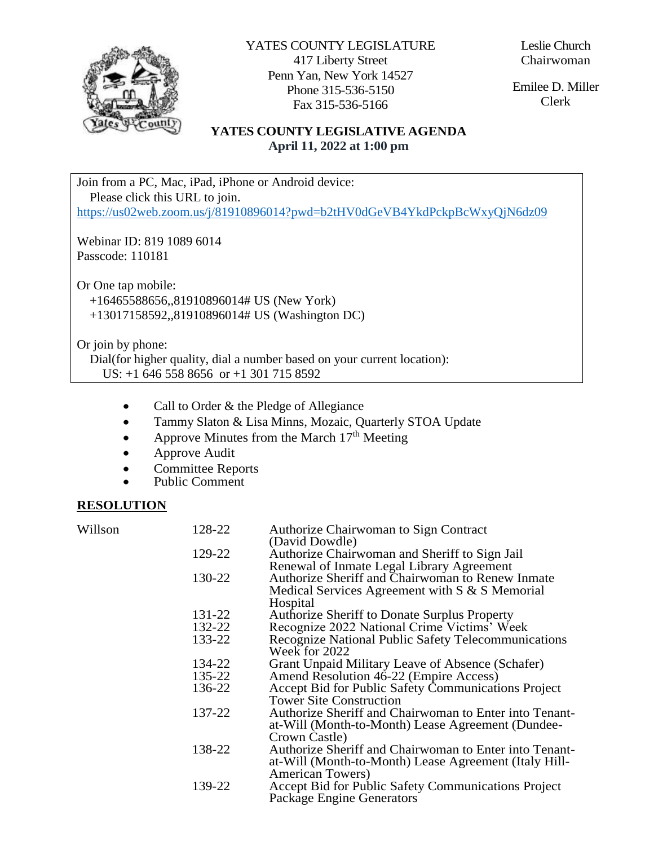

YATES COUNTY LEGISLATURE 417 Liberty Street Penn Yan, New York 14527 Phone 315-536-5150 Fax 315-536-5166

Leslie Church Chairwoman

Emilee D. Miller Clerk

## **YATES COUNTY LEGISLATIVE AGENDA April 11, 2022 at 1:00 pm**

Join from a PC, Mac, iPad, iPhone or Android device: Please click this URL to join. <https://us02web.zoom.us/j/81910896014?pwd=b2tHV0dGeVB4YkdPckpBcWxyQjN6dz09>

Webinar ID: 819 1089 6014 Passcode: 110181

Or One tap mobile: +16465588656,,81910896014# US (New York) +13017158592,,81910896014# US (Washington DC)

Or join by phone:

 Dial(for higher quality, dial a number based on your current location): US: +1 646 558 8656 or +1 301 715 8592

- Call to Order & the Pledge of Allegiance
- Tammy Slaton & Lisa Minns, Mozaic, Quarterly STOA Update
- Approve Minutes from the March  $17<sup>th</sup>$  Meeting
- Approve Audit
- Committee Reports
- Public Comment

## **RESOLUTION**

Willson 128-22 Authorize Chairwoman to Sign Contract (David Dowdle) 129-22 Authorize Chairwoman and Sheriff to Sign Jail Renewal of Inmate Legal Library Agreement 130-22 Authorize Sheriff and Chairwoman to Renew Inmate Medical Services Agreement with S & S Memorial Hospital 131-22 Authorize Sheriff to Donate Surplus Property<br>132-22 Recognize 2022 National Crime Victims' We 132-22 Recognize 2022 National Crime Victims' Week Recognize National Public Safety Telecommunications Week for 2022 134-22 Grant Unpaid Military Leave of Absence (Schafer)<br>135-22 Amend Resolution 46-22 (Empire Access) 135-22 Amend Resolution 46-22 (Empire Access) 136-22 Accept Bid for Public Safety Communications Project Tower Site Construction 137-22 Authorize Sheriff and Chairwoman to Enter into Tenantat-Will (Month-to-Month) Lease Agreement (Dundee-Crown Castle) 138-22 Authorize Sheriff and Chairwoman to Enter into Tenantat-Will (Month-to-Month) Lease Agreement (Italy Hill-American Towers) 139-22 Accept Bid for Public Safety Communications Project Package Engine Generators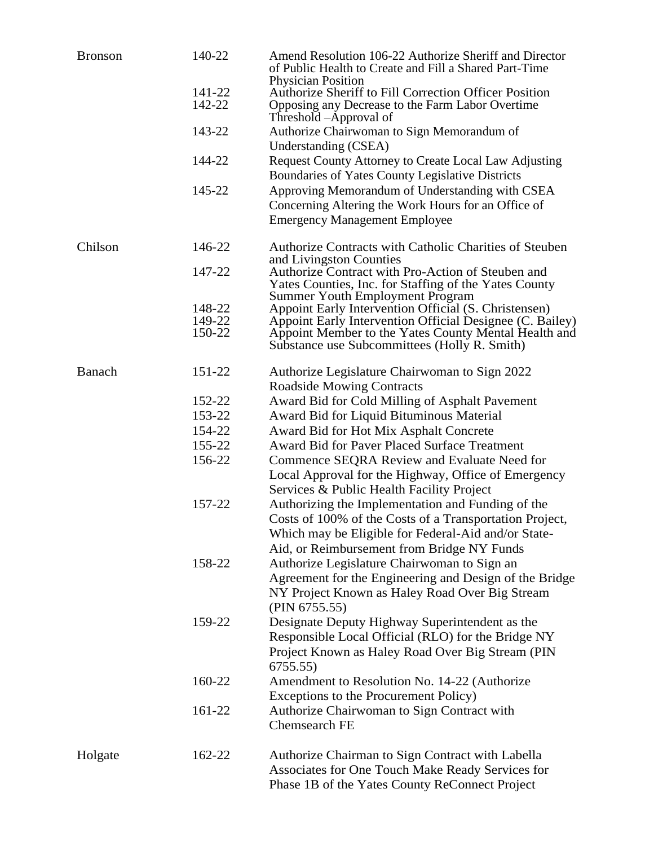| <b>Bronson</b> | 140-22 | Amend Resolution 106-22 Authorize Sheriff and Director<br>of Public Health to Create and Fill a Shared Part-Time<br><b>Physician Position</b> |
|----------------|--------|-----------------------------------------------------------------------------------------------------------------------------------------------|
|                | 141-22 | Authorize Sheriff to Fill Correction Officer Position                                                                                         |
|                | 142-22 | Opposing any Decrease to the Farm Labor Overtime<br>Threshold –Approval of                                                                    |
|                | 143-22 | Authorize Chairwoman to Sign Memorandum of<br>Understanding (CSEA)                                                                            |
|                | 144-22 | <b>Request County Attorney to Create Local Law Adjusting</b>                                                                                  |
|                |        | Boundaries of Yates County Legislative Districts                                                                                              |
|                | 145-22 | Approving Memorandum of Understanding with CSEA                                                                                               |
|                |        | Concerning Altering the Work Hours for an Office of                                                                                           |
|                |        | <b>Emergency Management Employee</b>                                                                                                          |
| Chilson        | 146-22 | Authorize Contracts with Catholic Charities of Steuben                                                                                        |
|                | 147-22 | and Livingston Counties<br>Authorize Contract with Pro-Action of Steuben and                                                                  |
|                |        | Yates Counties, Inc. for Staffing of the Yates County                                                                                         |
|                | 148-22 | <b>Summer Youth Employment Program</b><br>Appoint Early Intervention Official (S. Christensen)                                                |
|                | 149-22 | Appoint Early Intervention Official Designee (C. Bailey)                                                                                      |
|                | 150-22 | Appoint Member to the Yates County Mental Health and<br>Substance use Subcommittees (Holly R. Smith)                                          |
| Banach         | 151-22 | Authorize Legislature Chairwoman to Sign 2022                                                                                                 |
|                |        | <b>Roadside Mowing Contracts</b>                                                                                                              |
|                | 152-22 | Award Bid for Cold Milling of Asphalt Pavement                                                                                                |
|                | 153-22 | Award Bid for Liquid Bituminous Material                                                                                                      |
|                | 154-22 | Award Bid for Hot Mix Asphalt Concrete                                                                                                        |
|                | 155-22 | <b>Award Bid for Paver Placed Surface Treatment</b>                                                                                           |
|                | 156-22 | Commence SEQRA Review and Evaluate Need for                                                                                                   |
|                |        | Local Approval for the Highway, Office of Emergency                                                                                           |
|                |        | Services & Public Health Facility Project                                                                                                     |
|                | 157-22 | Authorizing the Implementation and Funding of the                                                                                             |
|                |        | Costs of 100% of the Costs of a Transportation Project,                                                                                       |
|                |        | Which may be Eligible for Federal-Aid and/or State-                                                                                           |
|                |        | Aid, or Reimbursement from Bridge NY Funds                                                                                                    |
|                | 158-22 | Authorize Legislature Chairwoman to Sign an                                                                                                   |
|                |        | Agreement for the Engineering and Design of the Bridge                                                                                        |
|                |        | NY Project Known as Haley Road Over Big Stream                                                                                                |
|                |        | (PIN 6755.55)                                                                                                                                 |
|                | 159-22 | Designate Deputy Highway Superintendent as the                                                                                                |
|                |        | Responsible Local Official (RLO) for the Bridge NY                                                                                            |
|                |        | Project Known as Haley Road Over Big Stream (PIN                                                                                              |
|                |        | 6755.55                                                                                                                                       |
|                | 160-22 | Amendment to Resolution No. 14-22 (Authorize                                                                                                  |
|                |        | Exceptions to the Procurement Policy)                                                                                                         |
|                | 161-22 | Authorize Chairwoman to Sign Contract with                                                                                                    |
|                |        | <b>Chemsearch FE</b>                                                                                                                          |
| Holgate        | 162-22 | Authorize Chairman to Sign Contract with Labella                                                                                              |
|                |        | Associates for One Touch Make Ready Services for                                                                                              |
|                |        | Phase 1B of the Yates County ReConnect Project                                                                                                |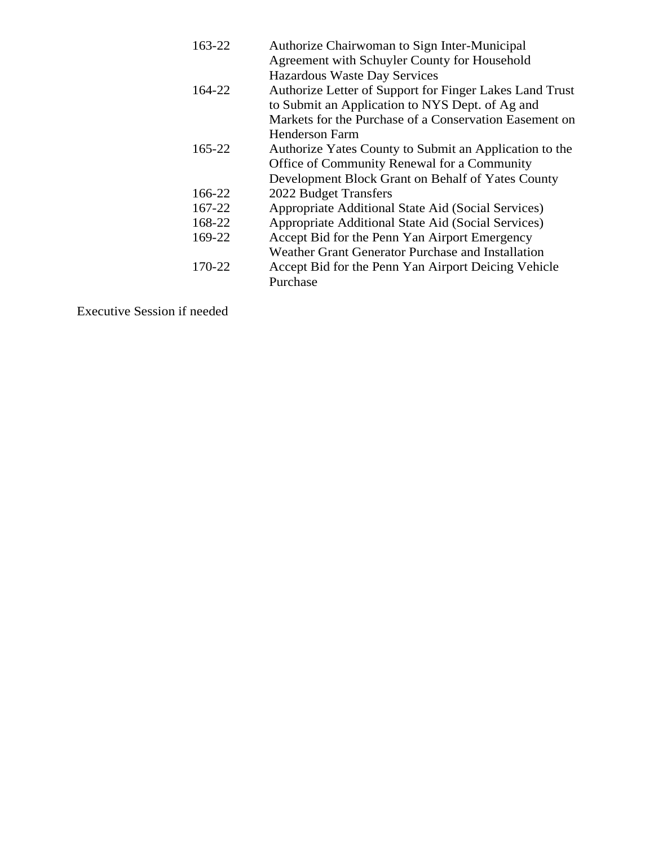| 163-22 | Authorize Chairwoman to Sign Inter-Municipal            |
|--------|---------------------------------------------------------|
|        | Agreement with Schuyler County for Household            |
|        | <b>Hazardous Waste Day Services</b>                     |
| 164-22 | Authorize Letter of Support for Finger Lakes Land Trust |
|        | to Submit an Application to NYS Dept. of Ag and         |
|        | Markets for the Purchase of a Conservation Easement on  |
|        | <b>Henderson Farm</b>                                   |
| 165-22 | Authorize Yates County to Submit an Application to the  |
|        | Office of Community Renewal for a Community             |
|        | Development Block Grant on Behalf of Yates County       |
| 166-22 | 2022 Budget Transfers                                   |
| 167-22 | Appropriate Additional State Aid (Social Services)      |
| 168-22 | Appropriate Additional State Aid (Social Services)      |
| 169-22 | Accept Bid for the Penn Yan Airport Emergency           |
|        | Weather Grant Generator Purchase and Installation       |
| 170-22 | Accept Bid for the Penn Yan Airport Deicing Vehicle     |
|        | Purchase                                                |

Executive Session if needed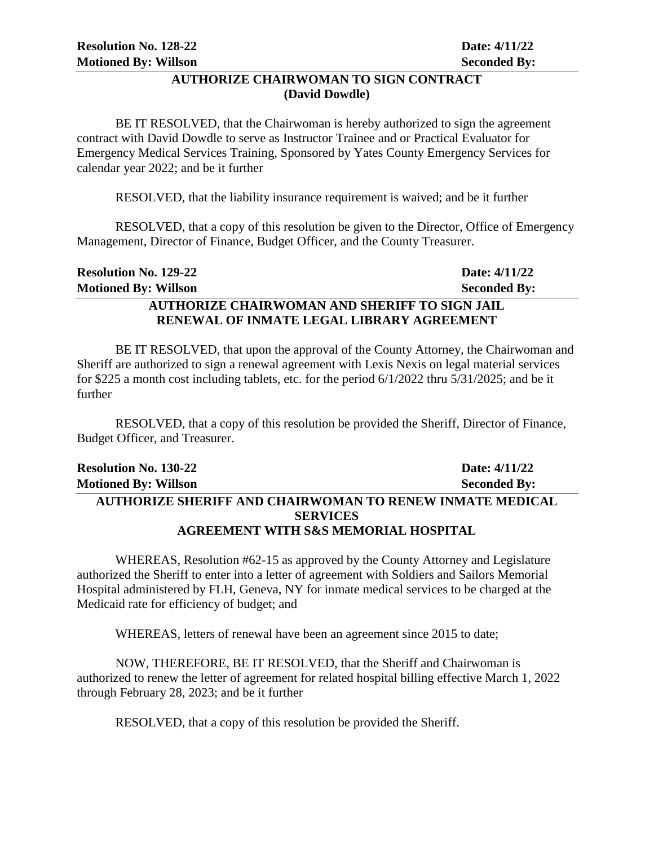## **AUTHORIZE CHAIRWOMAN TO SIGN CONTRACT (David Dowdle)**

BE IT RESOLVED, that the Chairwoman is hereby authorized to sign the agreement contract with David Dowdle to serve as Instructor Trainee and or Practical Evaluator for Emergency Medical Services Training, Sponsored by Yates County Emergency Services for calendar year 2022; and be it further

RESOLVED, that the liability insurance requirement is waived; and be it further

RESOLVED, that a copy of this resolution be given to the Director, Office of Emergency Management, Director of Finance, Budget Officer, and the County Treasurer.

| <b>Resolution No. 129-22</b>                         | Date: 4/11/22       |
|------------------------------------------------------|---------------------|
| <b>Motioned By: Willson</b>                          | <b>Seconded By:</b> |
| <b>AUTHORIZE CHAIRWOMAN AND SHERIFF TO SIGN JAIL</b> |                     |
| RENEWAL OF INMATE LEGAL LIBRARY AGREEMENT            |                     |

BE IT RESOLVED, that upon the approval of the County Attorney, the Chairwoman and Sheriff are authorized to sign a renewal agreement with Lexis Nexis on legal material services for \$225 a month cost including tablets, etc. for the period 6/1/2022 thru 5/31/2025; and be it further

RESOLVED, that a copy of this resolution be provided the Sheriff, Director of Finance, Budget Officer, and Treasurer.

| <b>Resolution No. 130-22</b>                                    | Date: 4/11/22       |  |
|-----------------------------------------------------------------|---------------------|--|
| <b>Motioned By: Willson</b>                                     | <b>Seconded By:</b> |  |
| <b>AUTHORIZE SHERIFF AND CHAIRWOMAN TO RENEW INMATE MEDICAL</b> |                     |  |
| <b>SERVICES</b>                                                 |                     |  |
| <b>AGREEMENT WITH S&amp;S MEMORIAL HOSPITAL</b>                 |                     |  |

WHEREAS, Resolution #62-15 as approved by the County Attorney and Legislature authorized the Sheriff to enter into a letter of agreement with Soldiers and Sailors Memorial Hospital administered by FLH, Geneva, NY for inmate medical services to be charged at the Medicaid rate for efficiency of budget; and

WHEREAS, letters of renewal have been an agreement since 2015 to date;

NOW, THEREFORE, BE IT RESOLVED, that the Sheriff and Chairwoman is authorized to renew the letter of agreement for related hospital billing effective March 1, 2022 through February 28, 2023; and be it further

RESOLVED, that a copy of this resolution be provided the Sheriff.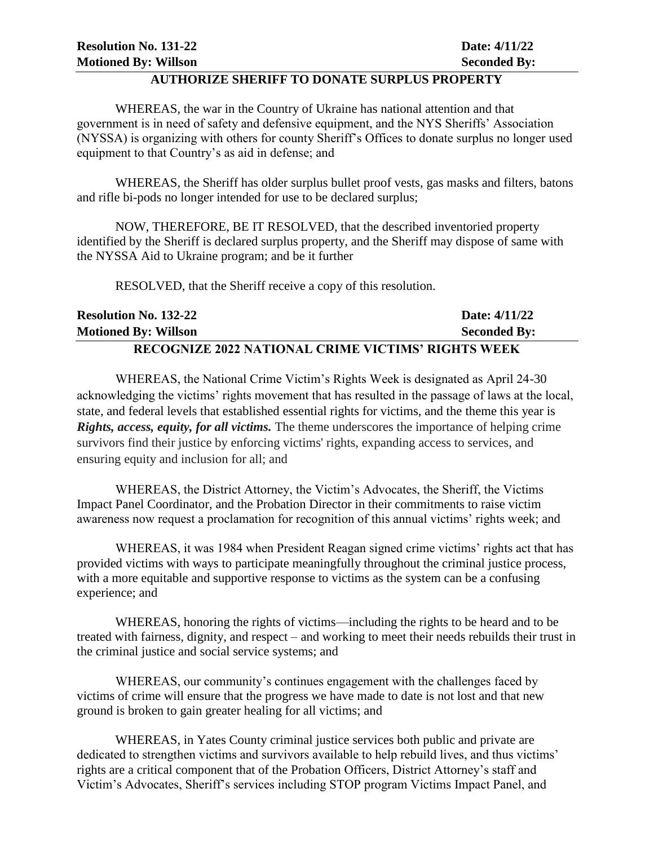#### **AUTHORIZE SHERIFF TO DONATE SURPLUS PROPERTY**

WHEREAS, the war in the Country of Ukraine has national attention and that government is in need of safety and defensive equipment, and the NYS Sheriffs' Association (NYSSA) is organizing with others for county Sheriff's Offices to donate surplus no longer used equipment to that Country's as aid in defense; and

WHEREAS, the Sheriff has older surplus bullet proof vests, gas masks and filters, batons and rifle bi-pods no longer intended for use to be declared surplus;

NOW, THEREFORE, BE IT RESOLVED, that the described inventoried property identified by the Sheriff is declared surplus property, and the Sheriff may dispose of same with the NYSSA Aid to Ukraine program; and be it further

RESOLVED, that the Sheriff receive a copy of this resolution.

| <b>Resolution No. 132-22</b>                              | Date: 4/11/22       |
|-----------------------------------------------------------|---------------------|
| Motioned By: Willson                                      | <b>Seconded By:</b> |
| <b>RECOGNIZE 2022 NATIONAL CRIME VICTIMS' RIGHTS WEEK</b> |                     |

WHEREAS, the National Crime Victim's Rights Week is designated as April 24-30 acknowledging the victims' rights movement that has resulted in the passage of laws at the local, state, and federal levels that established essential rights for victims, and the theme this year is *Rights, access, equity, for all victims.* The theme underscores the importance of helping crime survivors find their justice by enforcing victims' rights, expanding access to services, and ensuring equity and inclusion for all; and

WHEREAS, the District Attorney, the Victim's Advocates, the Sheriff, the Victims Impact Panel Coordinator, and the Probation Director in their commitments to raise victim awareness now request a proclamation for recognition of this annual victims' rights week; and

WHEREAS, it was 1984 when President Reagan signed crime victims' rights act that has provided victims with ways to participate meaningfully throughout the criminal justice process, with a more equitable and supportive response to victims as the system can be a confusing experience; and

WHEREAS, honoring the rights of victims—including the rights to be heard and to be treated with fairness, dignity, and respect – and working to meet their needs rebuilds their trust in the criminal justice and social service systems; and

WHEREAS, our community's continues engagement with the challenges faced by victims of crime will ensure that the progress we have made to date is not lost and that new ground is broken to gain greater healing for all victims; and

WHEREAS, in Yates County criminal justice services both public and private are dedicated to strengthen victims and survivors available to help rebuild lives, and thus victims' rights are a critical component that of the Probation Officers, District Attorney's staff and Victim's Advocates, Sheriff's services including STOP program Victims Impact Panel, and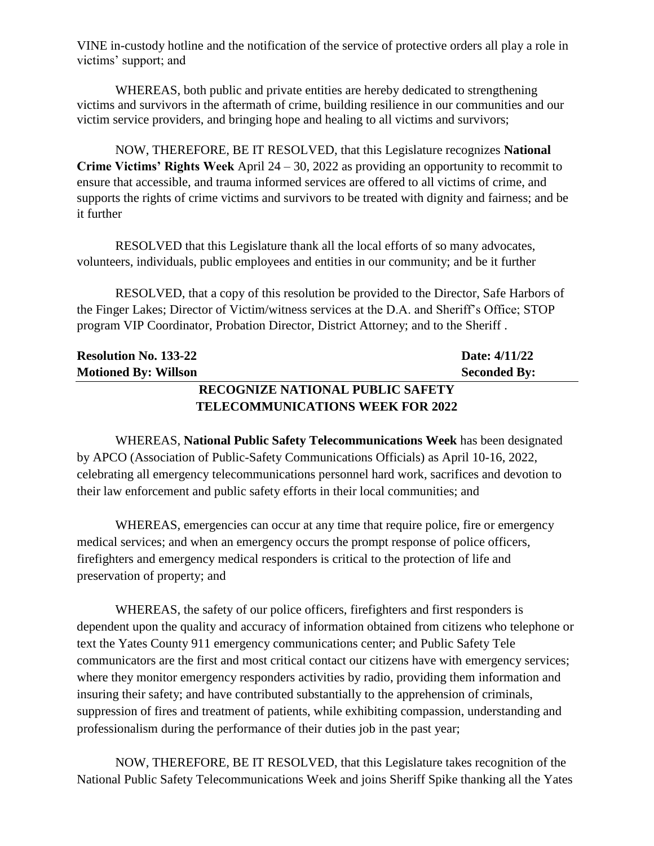VINE in-custody hotline and the notification of the service of protective orders all play a role in victims' support; and

WHEREAS, both public and private entities are hereby dedicated to strengthening victims and survivors in the aftermath of crime, building resilience in our communities and our victim service providers, and bringing hope and healing to all victims and survivors;

NOW, THEREFORE, BE IT RESOLVED, that this Legislature recognizes **National Crime Victims' Rights Week** April 24 – 30, 2022 as providing an opportunity to recommit to ensure that accessible, and trauma informed services are offered to all victims of crime, and supports the rights of crime victims and survivors to be treated with dignity and fairness; and be it further

RESOLVED that this Legislature thank all the local efforts of so many advocates, volunteers, individuals, public employees and entities in our community; and be it further

RESOLVED, that a copy of this resolution be provided to the Director, Safe Harbors of the Finger Lakes; Director of Victim/witness services at the D.A. and Sheriff's Office; STOP program VIP Coordinator, Probation Director, District Attorney; and to the Sheriff .

| <b>Resolution No. 133-22</b>            | Date: 4/11/22       |  |
|-----------------------------------------|---------------------|--|
| <b>Motioned By: Willson</b>             | <b>Seconded By:</b> |  |
| <b>RECOGNIZE NATIONAL PUBLIC SAFETY</b> |                     |  |

# **TELECOMMUNICATIONS WEEK FOR 2022**

WHEREAS, **National Public Safety Telecommunications Week** has been designated by APCO (Association of Public-Safety Communications Officials) as April 10-16, 2022, celebrating all emergency telecommunications personnel hard work, sacrifices and devotion to their law enforcement and public safety efforts in their local communities; and

WHEREAS, emergencies can occur at any time that require police, fire or emergency medical services; and when an emergency occurs the prompt response of police officers, firefighters and emergency medical responders is critical to the protection of life and preservation of property; and

WHEREAS, the safety of our police officers, firefighters and first responders is dependent upon the quality and accuracy of information obtained from citizens who telephone or text the Yates County 911 emergency communications center; and Public Safety Tele communicators are the first and most critical contact our citizens have with emergency services; where they monitor emergency responders activities by radio, providing them information and insuring their safety; and have contributed substantially to the apprehension of criminals, suppression of fires and treatment of patients, while exhibiting compassion, understanding and professionalism during the performance of their duties job in the past year;

NOW, THEREFORE, BE IT RESOLVED, that this Legislature takes recognition of the National Public Safety Telecommunications Week and joins Sheriff Spike thanking all the Yates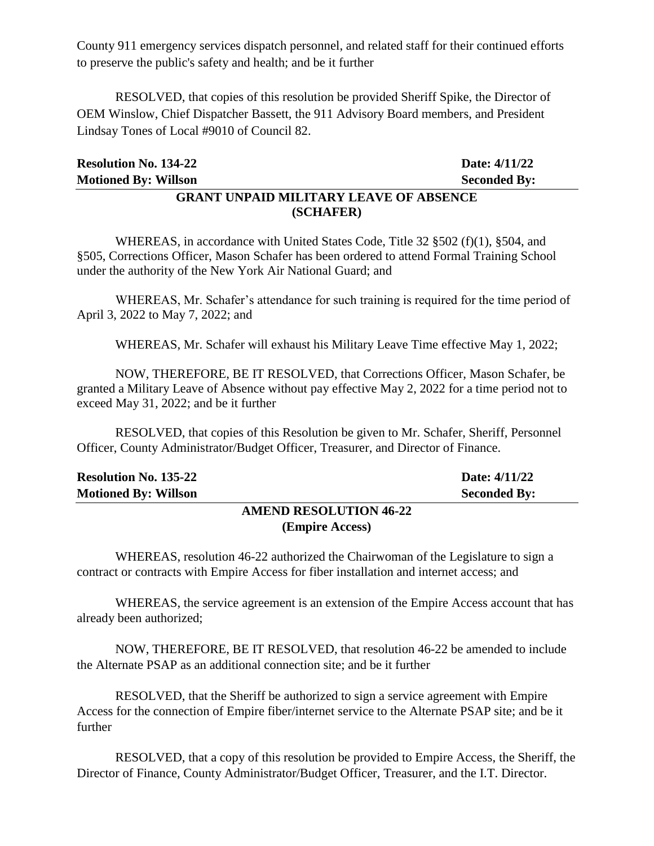County 911 emergency services dispatch personnel, and related staff for their continued efforts to preserve the public's safety and health; and be it further

RESOLVED, that copies of this resolution be provided Sheriff Spike, the Director of OEM Winslow, Chief Dispatcher Bassett, the 911 Advisory Board members, and President Lindsay Tones of Local #9010 of Council 82.

| <b>Resolution No. 134-22</b>                  | Date: 4/11/22       |  |
|-----------------------------------------------|---------------------|--|
| <b>Motioned By: Willson</b>                   | <b>Seconded By:</b> |  |
| <b>GRANT UNPAID MILITARY LEAVE OF ABSENCE</b> |                     |  |

**(SCHAFER)**

WHEREAS, in accordance with United States Code, Title 32 §502 (f)(1), §504, and §505, Corrections Officer, Mason Schafer has been ordered to attend Formal Training School under the authority of the New York Air National Guard; and

WHEREAS, Mr. Schafer's attendance for such training is required for the time period of April 3, 2022 to May 7, 2022; and

WHEREAS, Mr. Schafer will exhaust his Military Leave Time effective May 1, 2022;

NOW, THEREFORE, BE IT RESOLVED, that Corrections Officer, Mason Schafer, be granted a Military Leave of Absence without pay effective May 2, 2022 for a time period not to exceed May 31, 2022; and be it further

RESOLVED, that copies of this Resolution be given to Mr. Schafer, Sheriff, Personnel Officer, County Administrator/Budget Officer, Treasurer, and Director of Finance.

| <b>Resolution No. 135-22</b>  | Date: 4/11/22       |
|-------------------------------|---------------------|
| <b>Motioned By: Willson</b>   | <b>Seconded By:</b> |
| <b>AMEND RESOLUTION 46-22</b> |                     |

# **(Empire Access)**

WHEREAS, resolution 46-22 authorized the Chairwoman of the Legislature to sign a contract or contracts with Empire Access for fiber installation and internet access; and

WHEREAS, the service agreement is an extension of the Empire Access account that has already been authorized;

NOW, THEREFORE, BE IT RESOLVED, that resolution 46-22 be amended to include the Alternate PSAP as an additional connection site; and be it further

RESOLVED, that the Sheriff be authorized to sign a service agreement with Empire Access for the connection of Empire fiber/internet service to the Alternate PSAP site; and be it further

RESOLVED, that a copy of this resolution be provided to Empire Access, the Sheriff, the Director of Finance, County Administrator/Budget Officer, Treasurer, and the I.T. Director.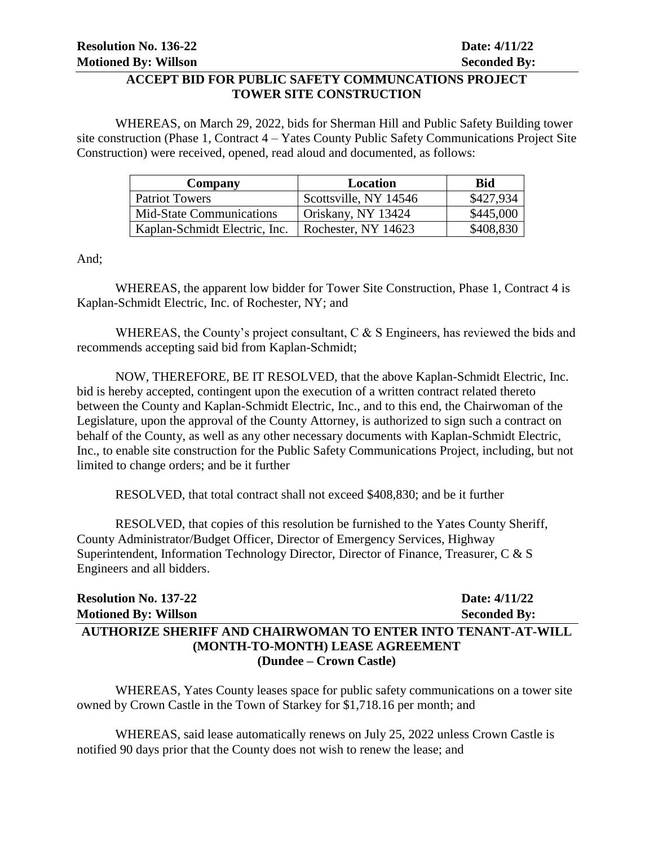## **ACCEPT BID FOR PUBLIC SAFETY COMMUNCATIONS PROJECT TOWER SITE CONSTRUCTION**

WHEREAS, on March 29, 2022, bids for Sherman Hill and Public Safety Building tower site construction (Phase 1, Contract 4 – Yates County Public Safety Communications Project Site Construction) were received, opened, read aloud and documented, as follows:

| Company                         | Location              | <b>Bid</b> |
|---------------------------------|-----------------------|------------|
| Patriot Towers                  | Scottsville, NY 14546 | \$427,934  |
| <b>Mid-State Communications</b> | Oriskany, NY 13424    | \$445,000  |
| Kaplan-Schmidt Electric, Inc.   | Rochester, NY 14623   | \$408,830  |

And;

WHEREAS, the apparent low bidder for Tower Site Construction, Phase 1, Contract 4 is Kaplan-Schmidt Electric, Inc. of Rochester, NY; and

WHEREAS, the County's project consultant, C & S Engineers, has reviewed the bids and recommends accepting said bid from Kaplan-Schmidt;

NOW, THEREFORE, BE IT RESOLVED, that the above Kaplan-Schmidt Electric, Inc. bid is hereby accepted, contingent upon the execution of a written contract related thereto between the County and Kaplan-Schmidt Electric, Inc., and to this end, the Chairwoman of the Legislature, upon the approval of the County Attorney, is authorized to sign such a contract on behalf of the County, as well as any other necessary documents with Kaplan-Schmidt Electric, Inc., to enable site construction for the Public Safety Communications Project, including, but not limited to change orders; and be it further

RESOLVED, that total contract shall not exceed \$408,830; and be it further

RESOLVED, that copies of this resolution be furnished to the Yates County Sheriff, County Administrator/Budget Officer, Director of Emergency Services, Highway Superintendent, Information Technology Director, Director of Finance, Treasurer, C & S Engineers and all bidders.

| <b>Resolution No. 137-22</b>                                  | Date: $4/11/22$     |  |
|---------------------------------------------------------------|---------------------|--|
| <b>Motioned By: Willson</b>                                   | <b>Seconded By:</b> |  |
| AUTHORIZE SHERIFF AND CHAIRWOMAN TO ENTER INTO TENANT-AT-WILL |                     |  |
| (MONTH-TO-MONTH) LEASE AGREEMENT                              |                     |  |
| (Dundee – Crown Castle)                                       |                     |  |

WHEREAS, Yates County leases space for public safety communications on a tower site owned by Crown Castle in the Town of Starkey for \$1,718.16 per month; and

WHEREAS, said lease automatically renews on July 25, 2022 unless Crown Castle is notified 90 days prior that the County does not wish to renew the lease; and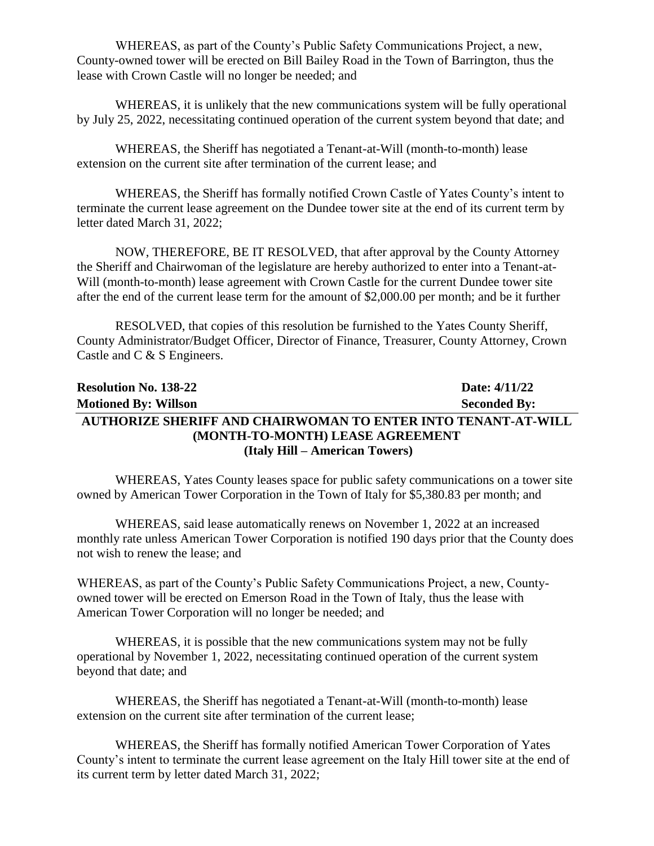WHEREAS, as part of the County's Public Safety Communications Project, a new, County-owned tower will be erected on Bill Bailey Road in the Town of Barrington, thus the lease with Crown Castle will no longer be needed; and

WHEREAS, it is unlikely that the new communications system will be fully operational by July 25, 2022, necessitating continued operation of the current system beyond that date; and

WHEREAS, the Sheriff has negotiated a Tenant-at-Will (month-to-month) lease extension on the current site after termination of the current lease; and

WHEREAS, the Sheriff has formally notified Crown Castle of Yates County's intent to terminate the current lease agreement on the Dundee tower site at the end of its current term by letter dated March 31, 2022;

NOW, THEREFORE, BE IT RESOLVED, that after approval by the County Attorney the Sheriff and Chairwoman of the legislature are hereby authorized to enter into a Tenant-at-Will (month-to-month) lease agreement with Crown Castle for the current Dundee tower site after the end of the current lease term for the amount of \$2,000.00 per month; and be it further

RESOLVED, that copies of this resolution be furnished to the Yates County Sheriff, County Administrator/Budget Officer, Director of Finance, Treasurer, County Attorney, Crown Castle and C & S Engineers.

# **Resolution No. 138-22 Date: 4/11/22 Motioned By: Willson Seconded By: AUTHORIZE SHERIFF AND CHAIRWOMAN TO ENTER INTO TENANT-AT-WILL (MONTH-TO-MONTH) LEASE AGREEMENT (Italy Hill – American Towers)**

WHEREAS, Yates County leases space for public safety communications on a tower site owned by American Tower Corporation in the Town of Italy for \$5,380.83 per month; and

WHEREAS, said lease automatically renews on November 1, 2022 at an increased monthly rate unless American Tower Corporation is notified 190 days prior that the County does not wish to renew the lease; and

WHEREAS, as part of the County's Public Safety Communications Project, a new, Countyowned tower will be erected on Emerson Road in the Town of Italy, thus the lease with American Tower Corporation will no longer be needed; and

WHEREAS, it is possible that the new communications system may not be fully operational by November 1, 2022, necessitating continued operation of the current system beyond that date; and

WHEREAS, the Sheriff has negotiated a Tenant-at-Will (month-to-month) lease extension on the current site after termination of the current lease;

WHEREAS, the Sheriff has formally notified American Tower Corporation of Yates County's intent to terminate the current lease agreement on the Italy Hill tower site at the end of its current term by letter dated March 31, 2022;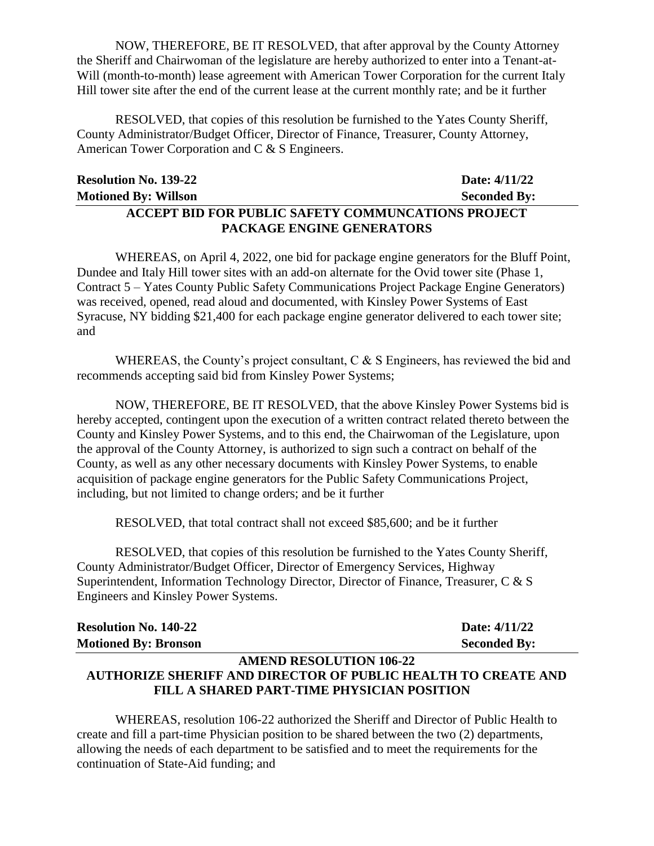NOW, THEREFORE, BE IT RESOLVED, that after approval by the County Attorney the Sheriff and Chairwoman of the legislature are hereby authorized to enter into a Tenant-at-Will (month-to-month) lease agreement with American Tower Corporation for the current Italy Hill tower site after the end of the current lease at the current monthly rate; and be it further

RESOLVED, that copies of this resolution be furnished to the Yates County Sheriff, County Administrator/Budget Officer, Director of Finance, Treasurer, County Attorney, American Tower Corporation and C & S Engineers.

| <b>Resolution No. 139-22</b>                              | Date: 4/11/22       |
|-----------------------------------------------------------|---------------------|
| <b>Motioned By: Willson</b>                               | <b>Seconded By:</b> |
| <b>ACCEPT BID FOR PUBLIC SAFETY COMMUNCATIONS PROJECT</b> |                     |
| PACKAGE ENGINE GENERATORS                                 |                     |

WHEREAS, on April 4, 2022, one bid for package engine generators for the Bluff Point, Dundee and Italy Hill tower sites with an add-on alternate for the Ovid tower site (Phase 1, Contract 5 – Yates County Public Safety Communications Project Package Engine Generators) was received, opened, read aloud and documented, with Kinsley Power Systems of East Syracuse, NY bidding \$21,400 for each package engine generator delivered to each tower site; and

WHEREAS, the County's project consultant,  $C \& S$  Engineers, has reviewed the bid and recommends accepting said bid from Kinsley Power Systems;

NOW, THEREFORE, BE IT RESOLVED, that the above Kinsley Power Systems bid is hereby accepted, contingent upon the execution of a written contract related thereto between the County and Kinsley Power Systems, and to this end, the Chairwoman of the Legislature, upon the approval of the County Attorney, is authorized to sign such a contract on behalf of the County, as well as any other necessary documents with Kinsley Power Systems, to enable acquisition of package engine generators for the Public Safety Communications Project, including, but not limited to change orders; and be it further

RESOLVED, that total contract shall not exceed \$85,600; and be it further

RESOLVED, that copies of this resolution be furnished to the Yates County Sheriff, County Administrator/Budget Officer, Director of Emergency Services, Highway Superintendent, Information Technology Director, Director of Finance, Treasurer, C & S Engineers and Kinsley Power Systems.

| <b>Resolution No. 140-22</b> | Date: 4/11/22       |
|------------------------------|---------------------|
| <b>Motioned By: Bronson</b>  | <b>Seconded By:</b> |

#### **AMEND RESOLUTION 106-22 AUTHORIZE SHERIFF AND DIRECTOR OF PUBLIC HEALTH TO CREATE AND FILL A SHARED PART-TIME PHYSICIAN POSITION**

WHEREAS, resolution 106-22 authorized the Sheriff and Director of Public Health to create and fill a part-time Physician position to be shared between the two (2) departments, allowing the needs of each department to be satisfied and to meet the requirements for the continuation of State-Aid funding; and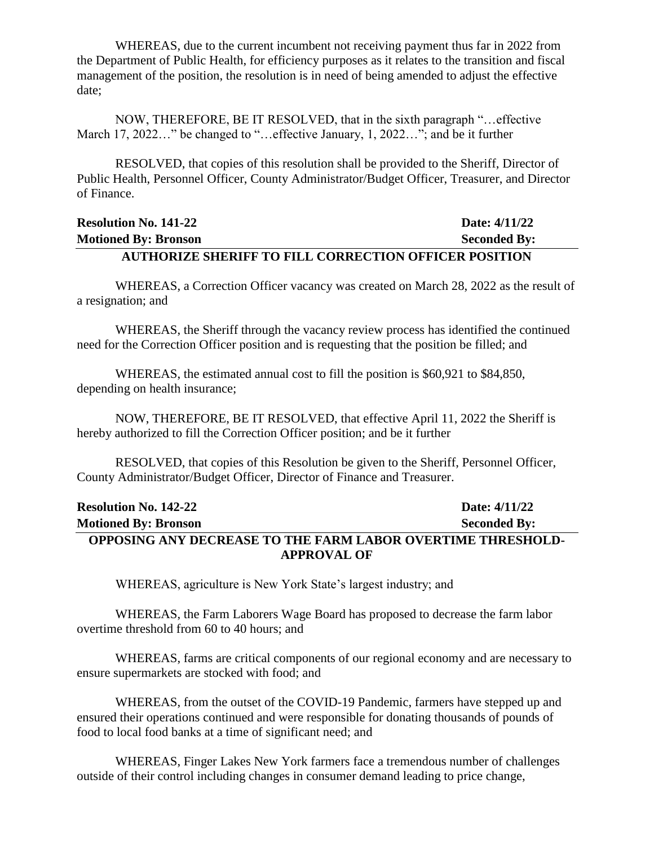WHEREAS, due to the current incumbent not receiving payment thus far in 2022 from the Department of Public Health, for efficiency purposes as it relates to the transition and fiscal management of the position, the resolution is in need of being amended to adjust the effective date;

NOW, THEREFORE, BE IT RESOLVED, that in the sixth paragraph "…effective March 17, 2022..." be changed to "...effective January, 1, 2022..."; and be it further

RESOLVED, that copies of this resolution shall be provided to the Sheriff, Director of Public Health, Personnel Officer, County Administrator/Budget Officer, Treasurer, and Director of Finance.

## **Resolution No. 141-22 Date: 4/11/22 Motioned By: Bronson Seconded By: AUTHORIZE SHERIFF TO FILL CORRECTION OFFICER POSITION**

WHEREAS, a Correction Officer vacancy was created on March 28, 2022 as the result of a resignation; and

WHEREAS, the Sheriff through the vacancy review process has identified the continued need for the Correction Officer position and is requesting that the position be filled; and

WHEREAS, the estimated annual cost to fill the position is \$60,921 to \$84,850, depending on health insurance;

NOW, THEREFORE, BE IT RESOLVED, that effective April 11, 2022 the Sheriff is hereby authorized to fill the Correction Officer position; and be it further

RESOLVED, that copies of this Resolution be given to the Sheriff, Personnel Officer, County Administrator/Budget Officer, Director of Finance and Treasurer.

| <b>Resolution No. 142-22</b>                                       | Date: 4/11/22       |
|--------------------------------------------------------------------|---------------------|
| <b>Motioned By: Bronson</b>                                        | <b>Seconded By:</b> |
| <b>OPPOSING ANY DECREASE TO THE FARM LABOR OVERTIME THRESHOLD-</b> |                     |
| <b>APPROVAL OF</b>                                                 |                     |

WHEREAS, agriculture is New York State's largest industry; and

WHEREAS, the Farm Laborers Wage Board has proposed to decrease the farm labor overtime threshold from 60 to 40 hours; and

WHEREAS, farms are critical components of our regional economy and are necessary to ensure supermarkets are stocked with food; and

WHEREAS, from the outset of the COVID-19 Pandemic, farmers have stepped up and ensured their operations continued and were responsible for donating thousands of pounds of food to local food banks at a time of significant need; and

WHEREAS, Finger Lakes New York farmers face a tremendous number of challenges outside of their control including changes in consumer demand leading to price change,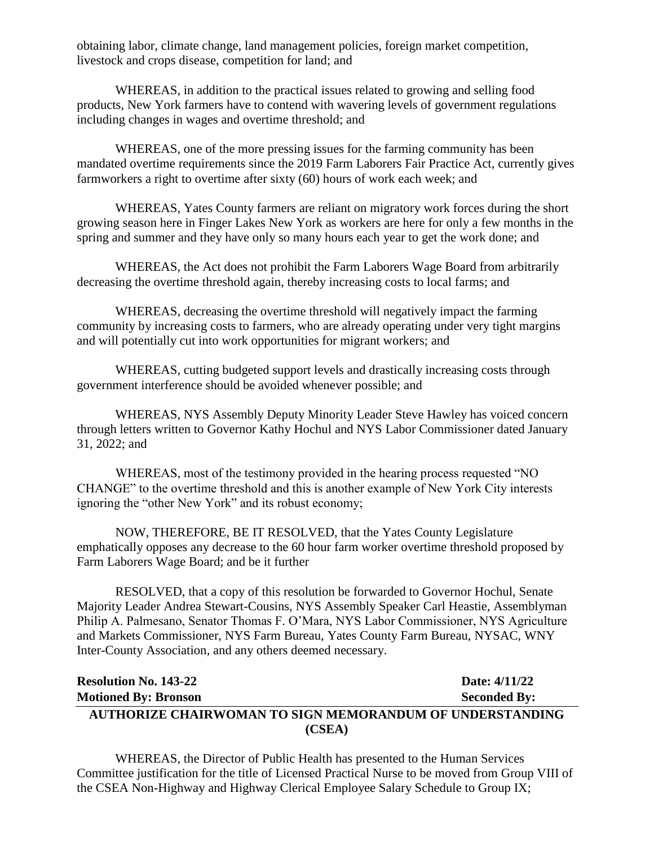obtaining labor, climate change, land management policies, foreign market competition, livestock and crops disease, competition for land; and

WHEREAS, in addition to the practical issues related to growing and selling food products, New York farmers have to contend with wavering levels of government regulations including changes in wages and overtime threshold; and

WHEREAS, one of the more pressing issues for the farming community has been mandated overtime requirements since the 2019 Farm Laborers Fair Practice Act, currently gives farmworkers a right to overtime after sixty (60) hours of work each week; and

WHEREAS, Yates County farmers are reliant on migratory work forces during the short growing season here in Finger Lakes New York as workers are here for only a few months in the spring and summer and they have only so many hours each year to get the work done; and

WHEREAS, the Act does not prohibit the Farm Laborers Wage Board from arbitrarily decreasing the overtime threshold again, thereby increasing costs to local farms; and

WHEREAS, decreasing the overtime threshold will negatively impact the farming community by increasing costs to farmers, who are already operating under very tight margins and will potentially cut into work opportunities for migrant workers; and

WHEREAS, cutting budgeted support levels and drastically increasing costs through government interference should be avoided whenever possible; and

WHEREAS, NYS Assembly Deputy Minority Leader Steve Hawley has voiced concern through letters written to Governor Kathy Hochul and NYS Labor Commissioner dated January 31, 2022; and

WHEREAS, most of the testimony provided in the hearing process requested "NO CHANGE" to the overtime threshold and this is another example of New York City interests ignoring the "other New York" and its robust economy;

NOW, THEREFORE, BE IT RESOLVED, that the Yates County Legislature emphatically opposes any decrease to the 60 hour farm worker overtime threshold proposed by Farm Laborers Wage Board; and be it further

RESOLVED, that a copy of this resolution be forwarded to Governor Hochul, Senate Majority Leader Andrea Stewart-Cousins, NYS Assembly Speaker Carl Heastie, Assemblyman Philip A. Palmesano, Senator Thomas F. O'Mara, NYS Labor Commissioner, NYS Agriculture and Markets Commissioner, NYS Farm Bureau, Yates County Farm Bureau, NYSAC, WNY Inter-County Association, and any others deemed necessary.

# **Resolution No. 143-22 Date: 4/11/22 Motioned By: Bronson Seconded By: AUTHORIZE CHAIRWOMAN TO SIGN MEMORANDUM OF UNDERSTANDING (CSEA)**

WHEREAS, the Director of Public Health has presented to the Human Services Committee justification for the title of Licensed Practical Nurse to be moved from Group VIII of the CSEA Non-Highway and Highway Clerical Employee Salary Schedule to Group IX;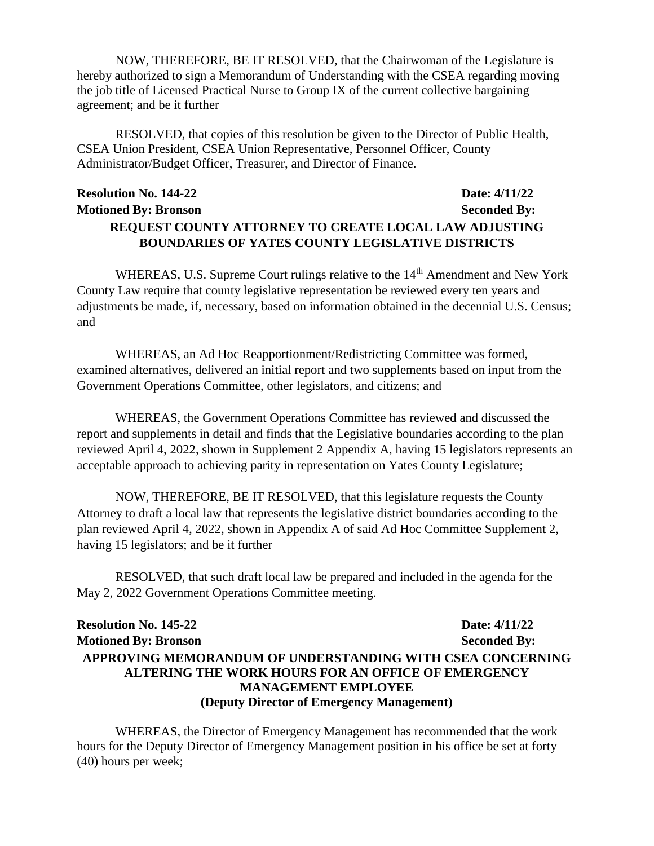NOW, THEREFORE, BE IT RESOLVED, that the Chairwoman of the Legislature is hereby authorized to sign a Memorandum of Understanding with the CSEA regarding moving the job title of Licensed Practical Nurse to Group IX of the current collective bargaining agreement; and be it further

RESOLVED, that copies of this resolution be given to the Director of Public Health, CSEA Union President, CSEA Union Representative, Personnel Officer, County Administrator/Budget Officer, Treasurer, and Director of Finance.

| <b>Resolution No. 144-22</b>                                 | Date: 4/11/22       |
|--------------------------------------------------------------|---------------------|
| <b>Motioned By: Bronson</b>                                  | <b>Seconded By:</b> |
| <b>REQUEST COUNTY ATTORNEY TO CREATE LOCAL LAW ADJUSTING</b> |                     |

**BOUNDARIES OF YATES COUNTY LEGISLATIVE DISTRICTS**

WHEREAS, U.S. Supreme Court rulings relative to the 14<sup>th</sup> Amendment and New York County Law require that county legislative representation be reviewed every ten years and adjustments be made, if, necessary, based on information obtained in the decennial U.S. Census; and

WHEREAS, an Ad Hoc Reapportionment/Redistricting Committee was formed, examined alternatives, delivered an initial report and two supplements based on input from the Government Operations Committee, other legislators, and citizens; and

WHEREAS, the Government Operations Committee has reviewed and discussed the report and supplements in detail and finds that the Legislative boundaries according to the plan reviewed April 4, 2022, shown in Supplement 2 Appendix A, having 15 legislators represents an acceptable approach to achieving parity in representation on Yates County Legislature;

NOW, THEREFORE, BE IT RESOLVED, that this legislature requests the County Attorney to draft a local law that represents the legislative district boundaries according to the plan reviewed April 4, 2022, shown in Appendix A of said Ad Hoc Committee Supplement 2, having 15 legislators; and be it further

RESOLVED, that such draft local law be prepared and included in the agenda for the May 2, 2022 Government Operations Committee meeting.

| <b>Resolution No. 145-22</b>                               | Date: 4/11/22       |
|------------------------------------------------------------|---------------------|
| <b>Motioned By: Bronson</b>                                | <b>Seconded By:</b> |
| APPROVING MEMORANDUM OF UNDERSTANDING WITH CSEA CONCERNING |                     |
| <b>ALTERING THE WORK HOURS FOR AN OFFICE OF EMERGENCY</b>  |                     |
| <b>MANAGEMENT EMPLOYEE</b>                                 |                     |
| (Deputy Director of Emergency Management)                  |                     |

WHEREAS, the Director of Emergency Management has recommended that the work hours for the Deputy Director of Emergency Management position in his office be set at forty (40) hours per week;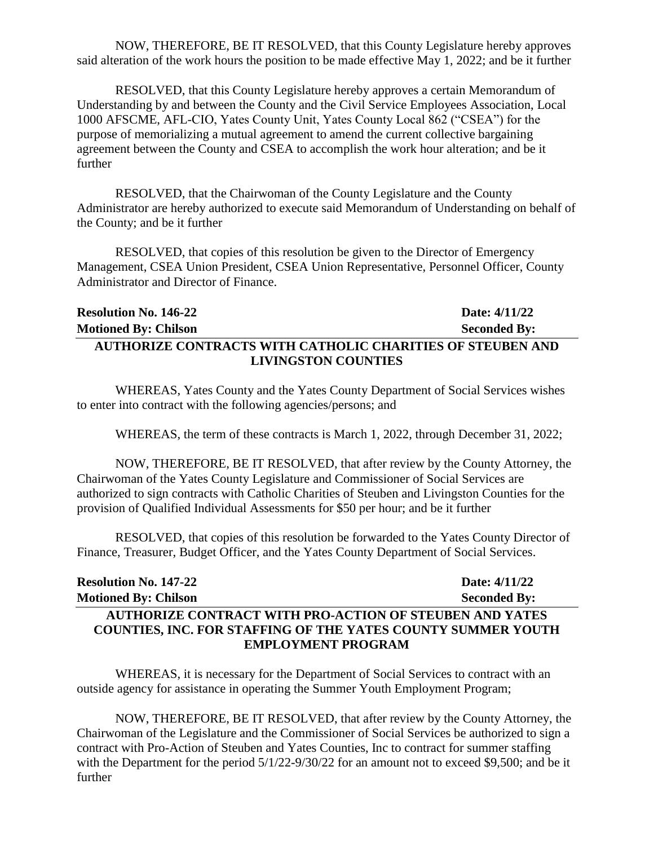NOW, THEREFORE, BE IT RESOLVED, that this County Legislature hereby approves said alteration of the work hours the position to be made effective May 1, 2022; and be it further

RESOLVED, that this County Legislature hereby approves a certain Memorandum of Understanding by and between the County and the Civil Service Employees Association, Local 1000 AFSCME, AFL-CIO, Yates County Unit, Yates County Local 862 ("CSEA") for the purpose of memorializing a mutual agreement to amend the current collective bargaining agreement between the County and CSEA to accomplish the work hour alteration; and be it further

RESOLVED, that the Chairwoman of the County Legislature and the County Administrator are hereby authorized to execute said Memorandum of Understanding on behalf of the County; and be it further

RESOLVED, that copies of this resolution be given to the Director of Emergency Management, CSEA Union President, CSEA Union Representative, Personnel Officer, County Administrator and Director of Finance.

| <b>Resolution No. 146-22</b>                               | Date: 4/11/22       |
|------------------------------------------------------------|---------------------|
| <b>Motioned By: Chilson</b>                                | <b>Seconded By:</b> |
| AUTHORIZE CONTRACTS WITH CATHOLIC CHARITIES OF STEUBEN AND |                     |
| <b>LIVINGSTON COUNTIES</b>                                 |                     |

WHEREAS, Yates County and the Yates County Department of Social Services wishes to enter into contract with the following agencies/persons; and

WHEREAS, the term of these contracts is March 1, 2022, through December 31, 2022;

NOW, THEREFORE, BE IT RESOLVED, that after review by the County Attorney, the Chairwoman of the Yates County Legislature and Commissioner of Social Services are authorized to sign contracts with Catholic Charities of Steuben and Livingston Counties for the provision of Qualified Individual Assessments for \$50 per hour; and be it further

RESOLVED, that copies of this resolution be forwarded to the Yates County Director of Finance, Treasurer, Budget Officer, and the Yates County Department of Social Services.

| <b>Resolution No. 147-22</b>                                        | Date: 4/11/22       |
|---------------------------------------------------------------------|---------------------|
| <b>Motioned By: Chilson</b>                                         | <b>Seconded By:</b> |
| <b>AUTHORIZE CONTRACT WITH PRO-ACTION OF STEUBEN AND YATES</b>      |                     |
| <b>COUNTIES, INC. FOR STAFFING OF THE YATES COUNTY SUMMER YOUTH</b> |                     |
| <b>EMPLOYMENT PROGRAM</b>                                           |                     |

WHEREAS, it is necessary for the Department of Social Services to contract with an outside agency for assistance in operating the Summer Youth Employment Program;

NOW, THEREFORE, BE IT RESOLVED, that after review by the County Attorney, the Chairwoman of the Legislature and the Commissioner of Social Services be authorized to sign a contract with Pro-Action of Steuben and Yates Counties, Inc to contract for summer staffing with the Department for the period  $5/1/22-9/30/22$  for an amount not to exceed \$9,500; and be it further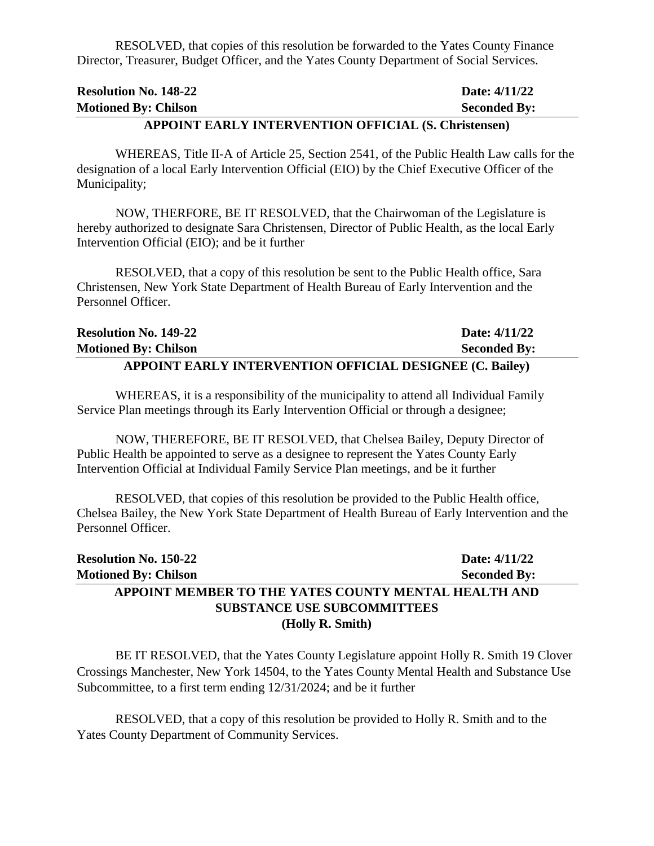RESOLVED, that copies of this resolution be forwarded to the Yates County Finance Director, Treasurer, Budget Officer, and the Yates County Department of Social Services.

| A PPOINT FA DI V INTERVENTION OFFICIAL (S. Christopson) |                     |
|---------------------------------------------------------|---------------------|
| <b>Motioned By: Chilson</b>                             | <b>Seconded By:</b> |
| <b>Resolution No. 148-22</b>                            | Date: 4/11/22       |

# **APPOINT EARLY INTERVENTION OFFICIAL (S. Christensen)**

WHEREAS, Title II-A of Article 25, Section 2541, of the Public Health Law calls for the designation of a local Early Intervention Official (EIO) by the Chief Executive Officer of the Municipality;

NOW, THERFORE, BE IT RESOLVED, that the Chairwoman of the Legislature is hereby authorized to designate Sara Christensen, Director of Public Health, as the local Early Intervention Official (EIO); and be it further

RESOLVED, that a copy of this resolution be sent to the Public Health office, Sara Christensen, New York State Department of Health Bureau of Early Intervention and the Personnel Officer.

| <b>Resolution No. 149-22</b>                                    | Date: $4/11/22$     |
|-----------------------------------------------------------------|---------------------|
| <b>Motioned By: Chilson</b>                                     | <b>Seconded By:</b> |
| <b>APPOINT EARLY INTERVENTION OFFICIAL DESIGNEE (C. Bailey)</b> |                     |

WHEREAS, it is a responsibility of the municipality to attend all Individual Family Service Plan meetings through its Early Intervention Official or through a designee;

NOW, THEREFORE, BE IT RESOLVED, that Chelsea Bailey, Deputy Director of Public Health be appointed to serve as a designee to represent the Yates County Early Intervention Official at Individual Family Service Plan meetings, and be it further

RESOLVED, that copies of this resolution be provided to the Public Health office, Chelsea Bailey, the New York State Department of Health Bureau of Early Intervention and the Personnel Officer.

| <b>Resolution No. 150-22</b>                         | Date: 4/11/22       |  |
|------------------------------------------------------|---------------------|--|
| <b>Motioned By: Chilson</b>                          | <b>Seconded By:</b> |  |
| APPOINT MEMBER TO THE YATES COUNTY MENTAL HEALTH AND |                     |  |
| <b>SUBSTANCE USE SUBCOMMITTEES</b>                   |                     |  |
| (Holly R. Smith)                                     |                     |  |

BE IT RESOLVED, that the Yates County Legislature appoint Holly R. Smith 19 Clover Crossings Manchester, New York 14504, to the Yates County Mental Health and Substance Use Subcommittee, to a first term ending 12/31/2024; and be it further

RESOLVED, that a copy of this resolution be provided to Holly R. Smith and to the Yates County Department of Community Services.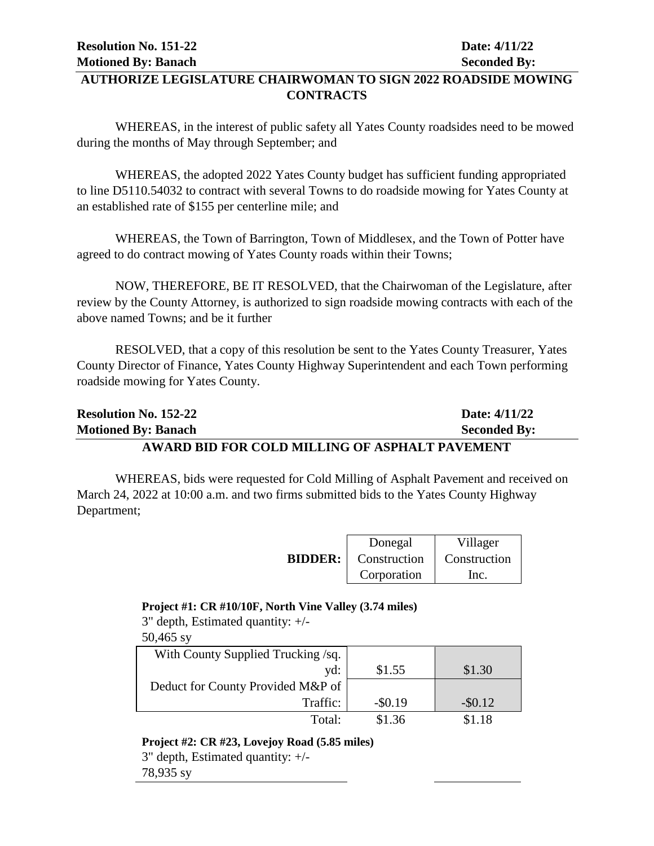# **AUTHORIZE LEGISLATURE CHAIRWOMAN TO SIGN 2022 ROADSIDE MOWING CONTRACTS**

WHEREAS, in the interest of public safety all Yates County roadsides need to be mowed during the months of May through September; and

WHEREAS, the adopted 2022 Yates County budget has sufficient funding appropriated to line D5110.54032 to contract with several Towns to do roadside mowing for Yates County at an established rate of \$155 per centerline mile; and

WHEREAS, the Town of Barrington, Town of Middlesex, and the Town of Potter have agreed to do contract mowing of Yates County roads within their Towns;

NOW, THEREFORE, BE IT RESOLVED, that the Chairwoman of the Legislature, after review by the County Attorney, is authorized to sign roadside mowing contracts with each of the above named Towns; and be it further

RESOLVED, that a copy of this resolution be sent to the Yates County Treasurer, Yates County Director of Finance, Yates County Highway Superintendent and each Town performing roadside mowing for Yates County.

| <b>Resolution No. 152-22</b>                          | Date: 4/11/22       |
|-------------------------------------------------------|---------------------|
| <b>Motioned By: Banach</b>                            | <b>Seconded By:</b> |
| <b>AWARD BID FOR COLD MILLING OF ASPHALT PAVEMENT</b> |                     |

WHEREAS, bids were requested for Cold Milling of Asphalt Pavement and received on March 24, 2022 at 10:00 a.m. and two firms submitted bids to the Yates County Highway Department;

|                | Donegal      | Villager     |
|----------------|--------------|--------------|
| <b>BIDDER:</b> | Construction | Construction |
|                | Corporation  | Inc.         |

#### **Project #1: CR #10/10F, North Vine Valley (3.74 miles)**

3" depth, Estimated quantity: +/-

50,465 sy

| With County Supplied Trucking/sq. |            |            |
|-----------------------------------|------------|------------|
| yd:                               | \$1.55     | \$1.30     |
| Deduct for County Provided M&P of |            |            |
| Traffic:                          | $-$ \$0.19 | $-$ \$0.12 |
| Total:                            | \$1.36     | \$1.18     |

#### **Project #2: CR #23, Lovejoy Road (5.85 miles)**

3" depth, Estimated quantity: +/- 78,935 sy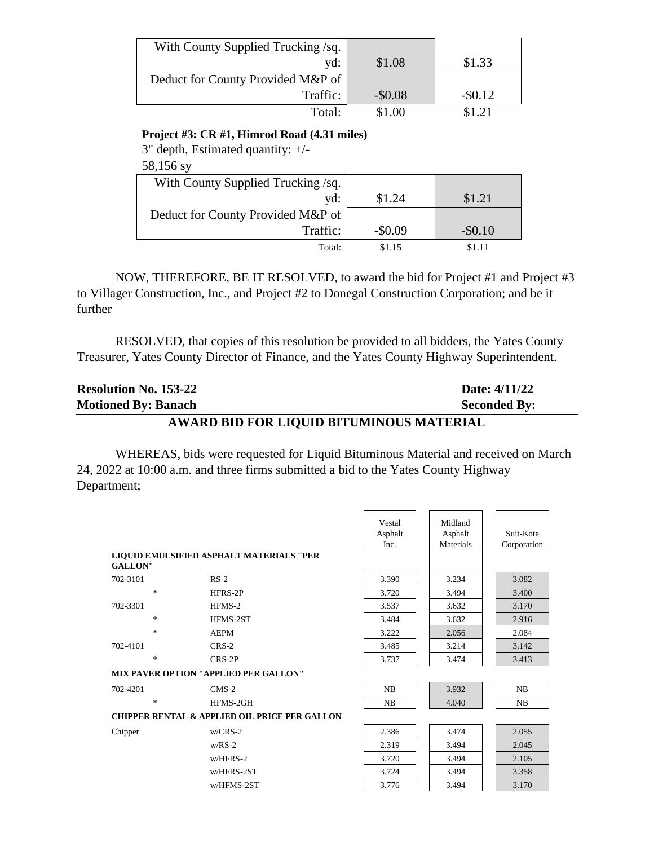| With County Supplied Trucking /sq. |          |          |
|------------------------------------|----------|----------|
| yd:                                | \$1.08   | \$1.33   |
| Deduct for County Provided M&P of  |          |          |
| Traffic:                           | $-$0.08$ | $-$0.12$ |
| Total:                             | \$1.00   | \$1.21   |

#### **Project #3: CR #1, Himrod Road (4.31 miles)**

3" depth, Estimated quantity: +/-

## 58,156 sy

| With County Supplied Trucking /sq. |          |            |
|------------------------------------|----------|------------|
| yd:                                | \$1.24   | \$1.21     |
| Deduct for County Provided M&P of  |          |            |
| Traffic:                           | $-$0.09$ | $-$ \$0.10 |
| Total:                             | \$1.15   | \$1.11     |

NOW, THEREFORE, BE IT RESOLVED, to award the bid for Project #1 and Project #3 to Villager Construction, Inc., and Project #2 to Donegal Construction Corporation; and be it further

RESOLVED, that copies of this resolution be provided to all bidders, the Yates County Treasurer, Yates County Director of Finance, and the Yates County Highway Superintendent.

| <b>Resolution No. 153-22</b>             | Date: 4/11/22       |  |  |  |
|------------------------------------------|---------------------|--|--|--|
| <b>Motioned By: Banach</b>               | <b>Seconded By:</b> |  |  |  |
| AWARD BID FOR LIQUID BITUMINOUS MATERIAL |                     |  |  |  |

WHEREAS, bids were requested for Liquid Bituminous Material and received on March 24, 2022 at 10:00 a.m. and three firms submitted a bid to the Yates County Highway Department;

| <b>GALLON"</b> | LIQUID EMULSIFIED ASPHALT MATERIALS "PER                 | Vestal<br>Asphalt<br>Inc. | Midland<br>Asphalt<br>Materials | Suit-Kote<br>Corporation |
|----------------|----------------------------------------------------------|---------------------------|---------------------------------|--------------------------|
| 702-3101       | $RS-2$                                                   | 3.390                     | 3.234                           | 3.082                    |
|                | $\ast$<br>HFRS-2P                                        | 3.720                     | 3.494                           | 3.400                    |
| 702-3301       | HFMS-2                                                   | 3.537                     | 3.632                           | 3.170                    |
|                | $\ast$<br>HFMS-2ST                                       | 3.484                     | 3.632                           | 2.916                    |
|                | $\ast$<br><b>AEPM</b>                                    | 3.222                     | 2.056                           | 2.084                    |
| 702-4101       | $CRS-2$                                                  | 3.485                     | 3.214                           | 3.142                    |
|                | $\ast$<br>$CRS-2P$                                       | 3.737                     | 3.474                           | 3.413                    |
|                | <b>MIX PAVER OPTION "APPLIED PER GALLON"</b>             |                           |                                 |                          |
| 702-4201       | $CMS-2$                                                  | NB                        | 3.932                           | NB                       |
|                | $\ast$<br>HFMS-2GH                                       | NB                        | 4.040                           | NB                       |
|                | <b>CHIPPER RENTAL &amp; APPLIED OIL PRICE PER GALLON</b> |                           |                                 |                          |
| Chipper        | $w/CRS-2$                                                | 2.386                     | 3.474                           | 2.055                    |
|                | $w/RS-2$                                                 | 2.319                     | 3.494                           | 2.045                    |
|                | $w/HFRS-2$                                               | 3.720                     | 3.494                           | 2.105                    |
|                | w/HFRS-2ST                                               | 3.724                     | 3.494                           | 3.358                    |
|                | w/HFMS-2ST                                               | 3.776                     | 3.494                           | 3.170                    |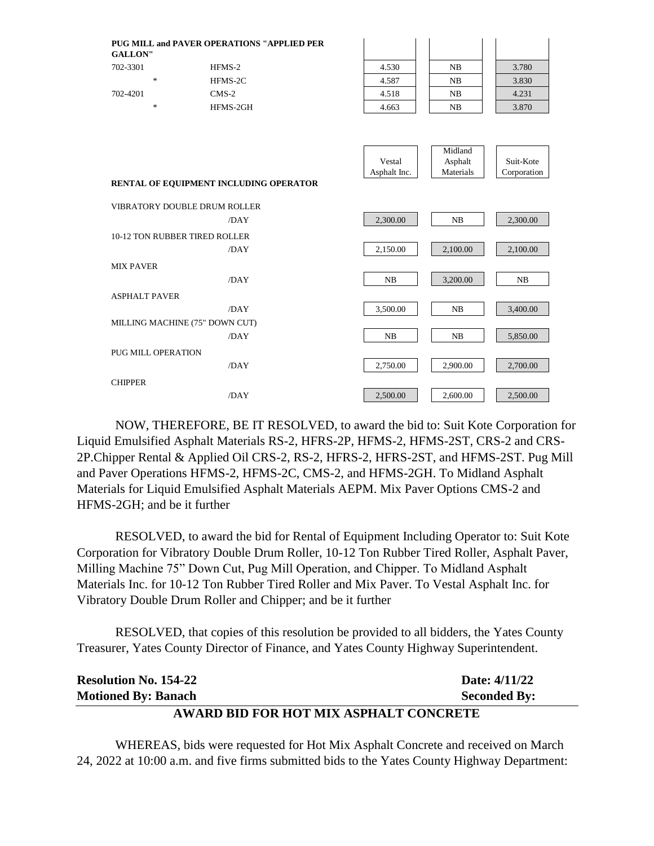| <b>GALLON"</b>       |                                      | <b>PUG MILL and PAVER OPERATIONS "APPLIED PER</b> |              |           |             |
|----------------------|--------------------------------------|---------------------------------------------------|--------------|-----------|-------------|
| 702-3301             |                                      | HFMS-2                                            | 4.530        | NB        | 3.780       |
|                      | $\ast$                               | HFMS-2C                                           | 4.587        | NB        | 3.830       |
| 702-4201             |                                      | $CMS-2$                                           | 4.518        | NB        | 4.231       |
|                      | $\ast$                               | HFMS-2GH                                          | 4.663        | NB        | 3.870       |
|                      |                                      |                                                   |              |           |             |
|                      |                                      |                                                   |              | Midland   |             |
|                      |                                      |                                                   | Vestal       | Asphalt   | Suit-Kote   |
|                      |                                      |                                                   | Asphalt Inc. | Materials | Corporation |
|                      |                                      | RENTAL OF EQUIPMENT INCLUDING OPERATOR            |              |           |             |
|                      |                                      | <b>VIBRATORY DOUBLE DRUM ROLLER</b>               |              |           |             |
|                      |                                      | /DAY                                              | 2,300.00     | NB        | 2,300.00    |
|                      | <b>10-12 TON RUBBER TIRED ROLLER</b> |                                                   |              |           |             |
|                      |                                      | /DAY                                              | 2,150.00     | 2,100.00  | 2,100.00    |
| <b>MIX PAVER</b>     |                                      |                                                   |              |           |             |
|                      |                                      | /DAY                                              | NB           | 3,200.00  | NB          |
| <b>ASPHALT PAVER</b> |                                      |                                                   |              |           |             |
|                      |                                      | /DAY                                              | 3,500.00     | NB        | 3,400.00    |
|                      | MILLING MACHINE (75" DOWN CUT)       |                                                   |              |           |             |
|                      |                                      | /DAY                                              | NB           | NB        | 5,850.00    |
|                      | <b>PUG MILL OPERATION</b>            |                                                   |              |           |             |
|                      |                                      | /DAY                                              | 2,750.00     | 2,900.00  | 2,700.00    |
| <b>CHIPPER</b>       |                                      |                                                   |              |           |             |
|                      |                                      | /DAY                                              | 2,500.00     | 2,600.00  | 2,500.00    |
|                      |                                      |                                                   |              |           |             |

NOW, THEREFORE, BE IT RESOLVED, to award the bid to: Suit Kote Corporation for Liquid Emulsified Asphalt Materials RS-2, HFRS-2P, HFMS-2, HFMS-2ST, CRS-2 and CRS-2P.Chipper Rental & Applied Oil CRS-2, RS-2, HFRS-2, HFRS-2ST, and HFMS-2ST. Pug Mill and Paver Operations HFMS-2, HFMS-2C, CMS-2, and HFMS-2GH. To Midland Asphalt Materials for Liquid Emulsified Asphalt Materials AEPM. Mix Paver Options CMS-2 and HFMS-2GH; and be it further

RESOLVED, to award the bid for Rental of Equipment Including Operator to: Suit Kote Corporation for Vibratory Double Drum Roller, 10-12 Ton Rubber Tired Roller, Asphalt Paver, Milling Machine 75" Down Cut, Pug Mill Operation, and Chipper. To Midland Asphalt Materials Inc. for 10-12 Ton Rubber Tired Roller and Mix Paver. To Vestal Asphalt Inc. for Vibratory Double Drum Roller and Chipper; and be it further

RESOLVED, that copies of this resolution be provided to all bidders, the Yates County Treasurer, Yates County Director of Finance, and Yates County Highway Superintendent.

| <b>Resolution No. 154-22</b>           | Date: $4/11/22$     |  |  |  |
|----------------------------------------|---------------------|--|--|--|
| <b>Motioned By: Banach</b>             | <b>Seconded By:</b> |  |  |  |
| AWARD BID FOR HOT MIX ASPHALT CONCRETE |                     |  |  |  |

WHEREAS, bids were requested for Hot Mix Asphalt Concrete and received on March 24, 2022 at 10:00 a.m. and five firms submitted bids to the Yates County Highway Department: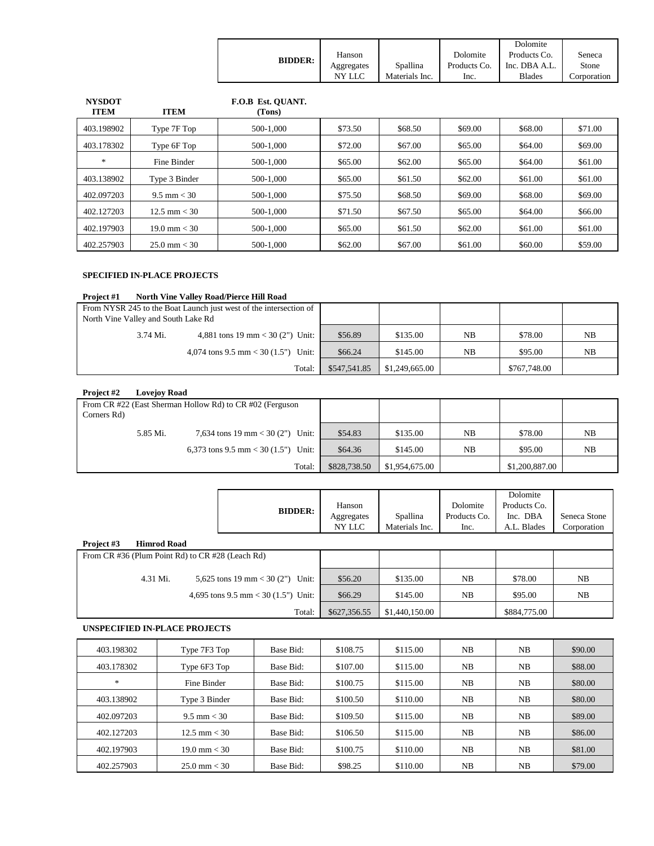|                |            |                |              | Dolomite      |             |
|----------------|------------|----------------|--------------|---------------|-------------|
| <b>BIDDER:</b> | Hanson     |                | Dolomite     | Products Co.  | Seneca      |
|                | Aggregates | Spallina       | Products Co. | Inc. DBA A.L. | Stone       |
|                | NY LLC     | Materials Inc. | Inc.         | <b>Blades</b> | Corporation |

| <b>NYSDOT</b><br><b>ITEM</b> | <b>ITEM</b>            | F.O.B Est. OUANT.<br>(Tons) |         |         |         |         |         |
|------------------------------|------------------------|-----------------------------|---------|---------|---------|---------|---------|
| 403.198902                   | Type 7F Top            | 500-1.000                   | \$73.50 | \$68.50 | \$69.00 | \$68.00 | \$71.00 |
| 403.178302                   | Type 6F Top            | 500-1.000                   | \$72.00 | \$67.00 | \$65.00 | \$64.00 | \$69.00 |
| $*$                          | Fine Binder            | 500-1.000                   | \$65.00 | \$62.00 | \$65.00 | \$64.00 | \$61.00 |
| 403.138902                   | Type 3 Binder          | 500-1.000                   | \$65.00 | \$61.50 | \$62.00 | \$61.00 | \$61.00 |
| 402.097203                   | $9.5 \text{ mm} < 30$  | 500-1,000                   | \$75.50 | \$68.50 | \$69.00 | \$68.00 | \$69.00 |
| 402.127203                   | $12.5 \text{ mm} < 30$ | 500-1.000                   | \$71.50 | \$67.50 | \$65.00 | \$64.00 | \$66.00 |
| 402.197903                   | $19.0 \text{ mm} < 30$ | 500-1.000                   | \$65.00 | \$61.50 | \$62.00 | \$61.00 | \$61.00 |
| 402.257903                   | $25.0 \text{ mm} < 30$ | 500-1.000                   | \$62.00 | \$67.00 | \$61.00 | \$60.00 | \$59.00 |

#### **SPECIFIED IN-PLACE PROJECTS**

#### **Project #1 North Vine Valley Road/Pierce Hill Road**

| From NYSR 245 to the Boat Launch just west of the intersection of<br>North Vine Valley and South Lake Rd |                                     |              |                |    |              |    |
|----------------------------------------------------------------------------------------------------------|-------------------------------------|--------------|----------------|----|--------------|----|
| 3.74 Mi.                                                                                                 | 4,881 tons 19 mm < 30 (2") Unit:    | \$56.89      | \$135.00       | NB | \$78.00      | NB |
|                                                                                                          | 4,074 tons 9.5 mm < 30 (1.5") Unit: | \$66.24      | \$145.00       | NB | \$95.00      | NB |
|                                                                                                          | Total:                              | \$547,541.85 | \$1,249,665.00 |    | \$767,748.00 |    |

#### **Project #2 Lovejoy Road**

|             |          | From CR #22 (East Sherman Hollow Rd) to CR #02 (Ferguson |              |                |    |                |    |
|-------------|----------|----------------------------------------------------------|--------------|----------------|----|----------------|----|
| Corners Rd) |          |                                                          |              |                |    |                |    |
|             | 5.85 Mi. | 7,634 tons 19 mm < 30 (2") Unit:                         | \$54.83      | \$135.00       | NB | \$78.00        | NB |
|             |          | 6,373 tons 9.5 mm < 30 $(1.5")$ Unit:                    | \$64.36      | \$145.00       | NB | \$95.00        | NB |
|             |          | Total:                                                   | \$828,738.50 | \$1,954,675.00 |    | \$1,200,887.00 |    |

|            |                                                  | <b>BIDDER:</b>                        | Hanson<br>Aggregates<br>NY LLC | Spallina<br>Materials Inc. | Dolomite<br>Products Co.<br>Inc. | Dolomite<br>Products Co.<br>Inc. DBA<br>A.L. Blades | Seneca Stone<br>Corporation |
|------------|--------------------------------------------------|---------------------------------------|--------------------------------|----------------------------|----------------------------------|-----------------------------------------------------|-----------------------------|
| Project #3 | <b>Himrod Road</b>                               |                                       |                                |                            |                                  |                                                     |                             |
|            | From CR #36 (Plum Point Rd) to CR #28 (Leach Rd) |                                       |                                |                            |                                  |                                                     |                             |
|            |                                                  |                                       |                                |                            |                                  |                                                     |                             |
|            | 4.31 Mi.                                         | 5,625 tons 19 mm < 30 (2") Unit:      | \$56.20                        | \$135.00                   | NB                               | \$78.00                                             | NB                          |
|            |                                                  | 4,695 tons 9.5 mm < 30 $(1.5")$ Unit: | \$66.29                        | \$145.00                   | NB                               | \$95.00                                             | NB                          |
|            |                                                  | Total:                                | \$627,356.55                   | \$1,440,150.00             |                                  | \$884,775.00                                        |                             |

#### **UNSPECIFIED IN-PLACE PROJECTS**

| 403.198302    | Type 7F3 Top           | Base Bid: | \$108.75 | \$115.00 | NB | NB | \$90.00 |
|---------------|------------------------|-----------|----------|----------|----|----|---------|
| 403.178302    | Type 6F3 Top           | Base Bid: | \$107.00 | \$115.00 | NB | NB | \$88.00 |
| $\frac{1}{2}$ | Fine Binder            | Base Bid: | \$100.75 | \$115.00 | NB | NB | \$80.00 |
| 403.138902    | Type 3 Binder          | Base Bid: | \$100.50 | \$110.00 | NB | NB | \$80.00 |
| 402.097203    | $9.5 \text{ mm} < 30$  | Base Bid: | \$109.50 | \$115.00 | NB | NB | \$89.00 |
| 402.127203    | $12.5 \text{ mm} < 30$ | Base Bid: | \$106.50 | \$115.00 | NB | NB | \$86.00 |
| 402.197903    | $19.0 \text{ mm} < 30$ | Base Bid: | \$100.75 | \$110.00 | NB | NB | \$81.00 |
| 402.257903    | $25.0 \text{ mm} < 30$ | Base Bid: | \$98.25  | \$110.00 | NB | NB | \$79.00 |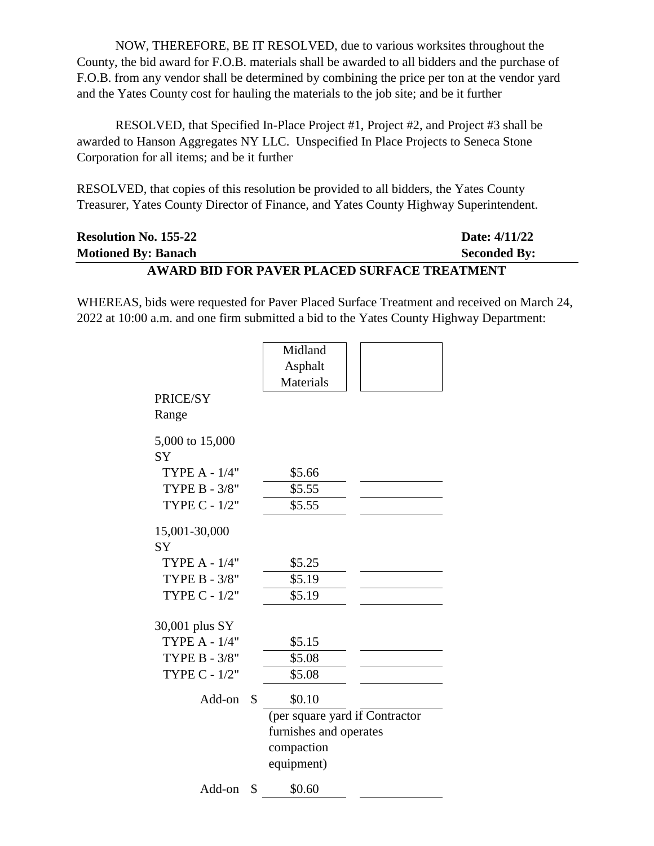NOW, THEREFORE, BE IT RESOLVED, due to various worksites throughout the County, the bid award for F.O.B. materials shall be awarded to all bidders and the purchase of F.O.B. from any vendor shall be determined by combining the price per ton at the vendor yard and the Yates County cost for hauling the materials to the job site; and be it further

RESOLVED, that Specified In-Place Project #1, Project #2, and Project #3 shall be awarded to Hanson Aggregates NY LLC. Unspecified In Place Projects to Seneca Stone Corporation for all items; and be it further

RESOLVED, that copies of this resolution be provided to all bidders, the Yates County Treasurer, Yates County Director of Finance, and Yates County Highway Superintendent.

| <b>Resolution No. 155-22</b>                 | Date: 4/11/22       |  |  |  |
|----------------------------------------------|---------------------|--|--|--|
| <b>Motioned By: Banach</b>                   | <b>Seconded By:</b> |  |  |  |
| AWARD BID FOR PAVER PLACED SURFACE TREATMENT |                     |  |  |  |

WHEREAS, bids were requested for Paver Placed Surface Treatment and received on March 24, 2022 at 10:00 a.m. and one firm submitted a bid to the Yates County Highway Department:

|                      | Midland                        |  |
|----------------------|--------------------------------|--|
|                      | Asphalt                        |  |
|                      | Materials                      |  |
| PRICE/SY             |                                |  |
| Range                |                                |  |
| 5,000 to 15,000      |                                |  |
| <b>SY</b>            |                                |  |
| <b>TYPE A - 1/4"</b> | \$5.66                         |  |
| <b>TYPE B - 3/8"</b> | \$5.55                         |  |
| TYPE C - 1/2"        | \$5.55                         |  |
| 15,001-30,000        |                                |  |
| <b>SY</b>            |                                |  |
| <b>TYPE A - 1/4"</b> | \$5.25                         |  |
| TYPE B - 3/8"        | \$5.19                         |  |
| TYPE C - 1/2"        | \$5.19                         |  |
|                      |                                |  |
| 30,001 plus SY       |                                |  |
| <b>TYPE A - 1/4"</b> | \$5.15                         |  |
| TYPE B - 3/8"        | \$5.08                         |  |
| <b>TYPE C - 1/2"</b> | \$5.08                         |  |
| Add-on               | \$<br>\$0.10                   |  |
|                      | (per square yard if Contractor |  |
|                      | furnishes and operates         |  |
|                      | compaction                     |  |
|                      | equipment)                     |  |
| Add-on               | \$<br>\$0.60                   |  |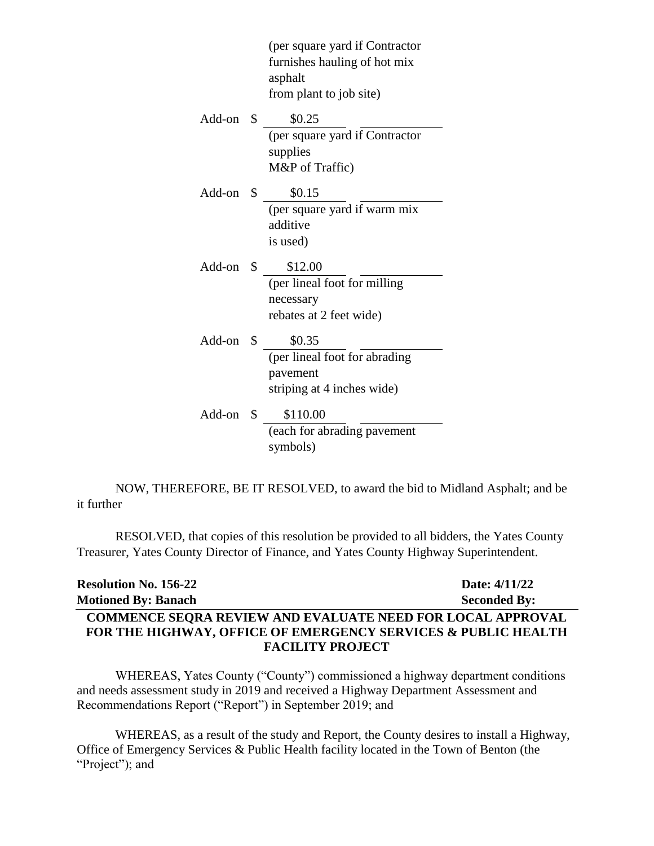(per square yard if Contractor furnishes hauling of hot mix asphalt from plant to job site) Add-on \$ \$0.25 (per square yard if Contractor supplies M&P of Traffic) Add-on \$ \$0.15 (per square yard if warm mix additive is used) Add-on \$ \$12.00 (per lineal foot for milling necessary rebates at 2 feet wide) Add-on \$ \$0.35 (per lineal foot for abrading pavement striping at 4 inches wide) Add-on \$ \$110.00 (each for abrading pavement symbols)

NOW, THEREFORE, BE IT RESOLVED, to award the bid to Midland Asphalt; and be it further

RESOLVED, that copies of this resolution be provided to all bidders, the Yates County Treasurer, Yates County Director of Finance, and Yates County Highway Superintendent.

| <b>Resolution No. 156-22</b>                                             | Date: 4/11/22       |
|--------------------------------------------------------------------------|---------------------|
| <b>Motioned By: Banach</b>                                               | <b>Seconded By:</b> |
| <b>COMMENCE SEORA REVIEW AND EVALUATE NEED FOR LOCAL APPROVAL</b>        |                     |
| <b>FOR THE HIGHWAY, OFFICE OF EMERGENCY SERVICES &amp; PUBLIC HEALTH</b> |                     |
| <b>FACILITY PROJECT</b>                                                  |                     |

WHEREAS, Yates County ("County") commissioned a highway department conditions and needs assessment study in 2019 and received a Highway Department Assessment and Recommendations Report ("Report") in September 2019; and

WHEREAS, as a result of the study and Report, the County desires to install a Highway, Office of Emergency Services & Public Health facility located in the Town of Benton (the "Project"); and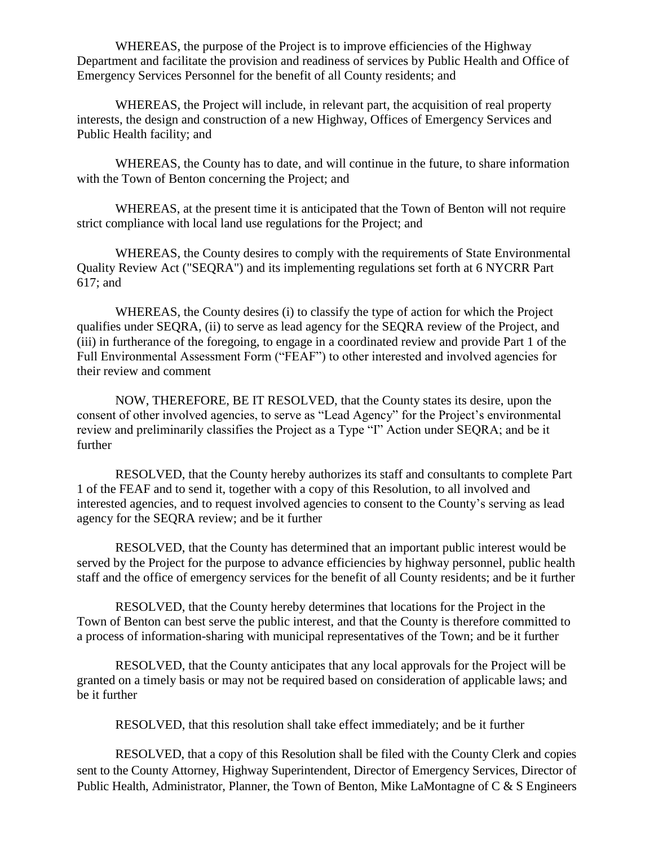WHEREAS, the purpose of the Project is to improve efficiencies of the Highway Department and facilitate the provision and readiness of services by Public Health and Office of Emergency Services Personnel for the benefit of all County residents; and

WHEREAS, the Project will include, in relevant part, the acquisition of real property interests, the design and construction of a new Highway, Offices of Emergency Services and Public Health facility; and

WHEREAS, the County has to date, and will continue in the future, to share information with the Town of Benton concerning the Project; and

WHEREAS, at the present time it is anticipated that the Town of Benton will not require strict compliance with local land use regulations for the Project; and

WHEREAS, the County desires to comply with the requirements of State Environmental Quality Review Act ("SEQRA") and its implementing regulations set forth at 6 NYCRR Part 617; and

WHEREAS, the County desires (i) to classify the type of action for which the Project qualifies under SEQRA, (ii) to serve as lead agency for the SEQRA review of the Project, and (iii) in furtherance of the foregoing, to engage in a coordinated review and provide Part 1 of the Full Environmental Assessment Form ("FEAF") to other interested and involved agencies for their review and comment

NOW, THEREFORE, BE IT RESOLVED, that the County states its desire, upon the consent of other involved agencies, to serve as "Lead Agency" for the Project's environmental review and preliminarily classifies the Project as a Type "I" Action under SEQRA; and be it further

RESOLVED, that the County hereby authorizes its staff and consultants to complete Part 1 of the FEAF and to send it, together with a copy of this Resolution, to all involved and interested agencies, and to request involved agencies to consent to the County's serving as lead agency for the SEQRA review; and be it further

RESOLVED, that the County has determined that an important public interest would be served by the Project for the purpose to advance efficiencies by highway personnel, public health staff and the office of emergency services for the benefit of all County residents; and be it further

RESOLVED, that the County hereby determines that locations for the Project in the Town of Benton can best serve the public interest, and that the County is therefore committed to a process of information-sharing with municipal representatives of the Town; and be it further

RESOLVED, that the County anticipates that any local approvals for the Project will be granted on a timely basis or may not be required based on consideration of applicable laws; and be it further

RESOLVED, that this resolution shall take effect immediately; and be it further

RESOLVED, that a copy of this Resolution shall be filed with the County Clerk and copies sent to the County Attorney, Highway Superintendent, Director of Emergency Services, Director of Public Health, Administrator, Planner, the Town of Benton, Mike LaMontagne of C & S Engineers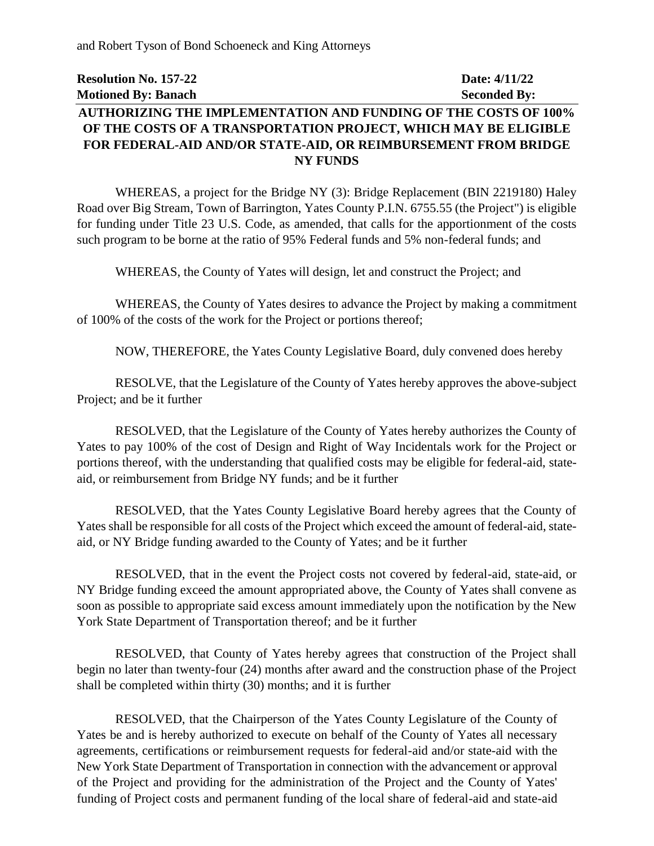and Robert Tyson of Bond Schoeneck and King Attorneys

# **Resolution No. 157-22 Date: 4/11/22 Motioned By: Banach Seconded By: AUTHORIZING THE IMPLEMENTATION AND FUNDING OF THE COSTS OF 100% OF THE COSTS OF A TRANSPORTATION PROJECT, WHICH MAY BE ELIGIBLE FOR FEDERAL-AID AND/OR STATE-AID, OR REIMBURSEMENT FROM BRIDGE NY FUNDS**

WHEREAS, a project for the Bridge NY (3): Bridge Replacement (BIN 2219180) Haley Road over Big Stream, Town of Barrington, Yates County P.I.N. 6755.55 (the Project") is eligible for funding under Title 23 U.S. Code, as amended, that calls for the apportionment of the costs such program to be borne at the ratio of 95% Federal funds and 5% non-federal funds; and

WHEREAS, the County of Yates will design, let and construct the Project; and

WHEREAS, the County of Yates desires to advance the Project by making a commitment of 100% of the costs of the work for the Project or portions thereof;

NOW, THEREFORE, the Yates County Legislative Board, duly convened does hereby

RESOLVE, that the Legislature of the County of Yates hereby approves the above-subject Project; and be it further

RESOLVED, that the Legislature of the County of Yates hereby authorizes the County of Yates to pay 100% of the cost of Design and Right of Way Incidentals work for the Project or portions thereof, with the understanding that qualified costs may be eligible for federal-aid, stateaid, or reimbursement from Bridge NY funds; and be it further

RESOLVED, that the Yates County Legislative Board hereby agrees that the County of Yates shall be responsible for all costs of the Project which exceed the amount of federal-aid, stateaid, or NY Bridge funding awarded to the County of Yates; and be it further

RESOLVED, that in the event the Project costs not covered by federal-aid, state-aid, or NY Bridge funding exceed the amount appropriated above, the County of Yates shall convene as soon as possible to appropriate said excess amount immediately upon the notification by the New York State Department of Transportation thereof; and be it further

RESOLVED, that County of Yates hereby agrees that construction of the Project shall begin no later than twenty-four (24) months after award and the construction phase of the Project shall be completed within thirty (30) months; and it is further

RESOLVED, that the Chairperson of the Yates County Legislature of the County of Yates be and is hereby authorized to execute on behalf of the County of Yates all necessary agreements, certifications or reimbursement requests for federal-aid and/or state-aid with the New York State Department of Transportation in connection with the advancement or approval of the Project and providing for the administration of the Project and the County of Yates' funding of Project costs and permanent funding of the local share of federal-aid and state-aid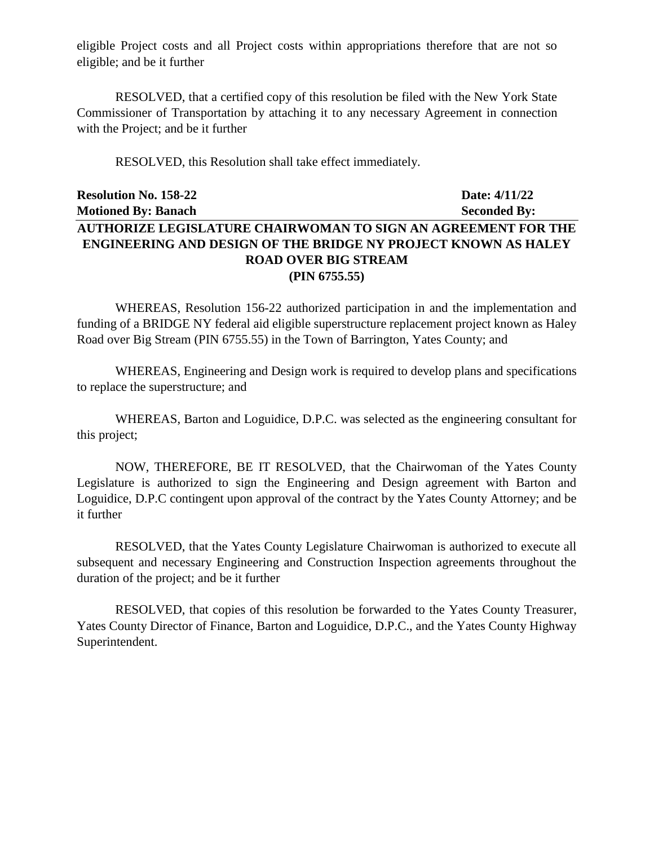eligible Project costs and all Project costs within appropriations therefore that are not so eligible; and be it further

RESOLVED, that a certified copy of this resolution be filed with the New York State Commissioner of Transportation by attaching it to any necessary Agreement in connection with the Project; and be it further

RESOLVED, this Resolution shall take effect immediately.

# **Resolution No. 158-22 Date: 4/11/22 Motioned By: Banach Seconded By: AUTHORIZE LEGISLATURE CHAIRWOMAN TO SIGN AN AGREEMENT FOR THE ENGINEERING AND DESIGN OF THE BRIDGE NY PROJECT KNOWN AS HALEY ROAD OVER BIG STREAM (PIN 6755.55)**

WHEREAS, Resolution 156-22 authorized participation in and the implementation and funding of a BRIDGE NY federal aid eligible superstructure replacement project known as Haley Road over Big Stream (PIN 6755.55) in the Town of Barrington, Yates County; and

WHEREAS, Engineering and Design work is required to develop plans and specifications to replace the superstructure; and

WHEREAS, Barton and Loguidice, D.P.C. was selected as the engineering consultant for this project;

NOW, THEREFORE, BE IT RESOLVED, that the Chairwoman of the Yates County Legislature is authorized to sign the Engineering and Design agreement with Barton and Loguidice, D.P.C contingent upon approval of the contract by the Yates County Attorney; and be it further

RESOLVED, that the Yates County Legislature Chairwoman is authorized to execute all subsequent and necessary Engineering and Construction Inspection agreements throughout the duration of the project; and be it further

RESOLVED, that copies of this resolution be forwarded to the Yates County Treasurer, Yates County Director of Finance, Barton and Loguidice, D.P.C., and the Yates County Highway Superintendent.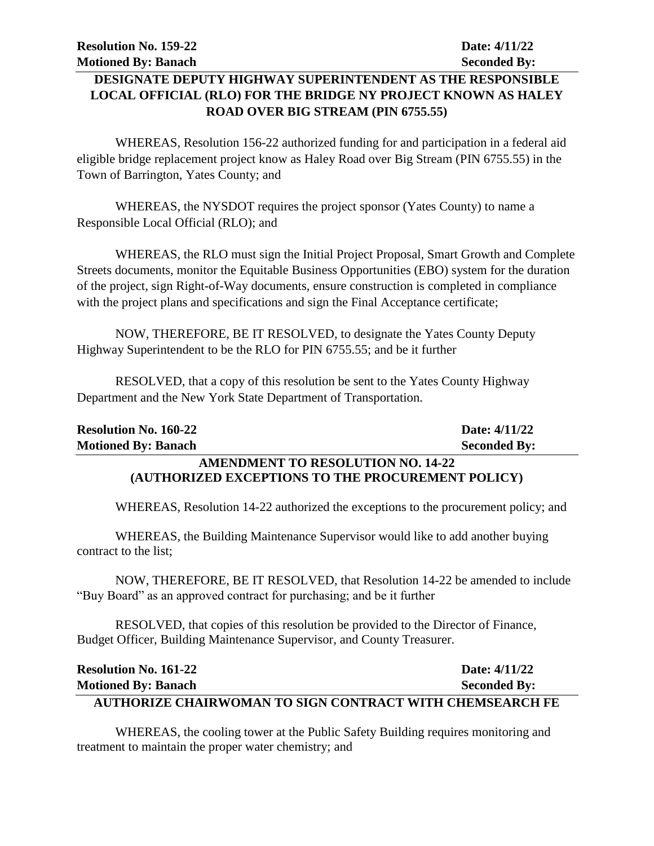## **DESIGNATE DEPUTY HIGHWAY SUPERINTENDENT AS THE RESPONSIBLE LOCAL OFFICIAL (RLO) FOR THE BRIDGE NY PROJECT KNOWN AS HALEY ROAD OVER BIG STREAM (PIN 6755.55)**

WHEREAS, Resolution 156-22 authorized funding for and participation in a federal aid eligible bridge replacement project know as Haley Road over Big Stream (PIN 6755.55) in the Town of Barrington, Yates County; and

WHEREAS, the NYSDOT requires the project sponsor (Yates County) to name a Responsible Local Official (RLO); and

WHEREAS, the RLO must sign the Initial Project Proposal, Smart Growth and Complete Streets documents, monitor the Equitable Business Opportunities (EBO) system for the duration of the project, sign Right-of-Way documents, ensure construction is completed in compliance with the project plans and specifications and sign the Final Acceptance certificate;

NOW, THEREFORE, BE IT RESOLVED, to designate the Yates County Deputy Highway Superintendent to be the RLO for PIN 6755.55; and be it further

RESOLVED, that a copy of this resolution be sent to the Yates County Highway Department and the New York State Department of Transportation.

| <b>Resolution No. 160-22</b>                      | Date: 4/11/22       |
|---------------------------------------------------|---------------------|
| <b>Motioned By: Banach</b>                        | <b>Seconded By:</b> |
| <b>AMENDMENT TO RESOLUTION NO. 14-22</b>          |                     |
| (AUTHORIZED EXCEPTIONS TO THE PROCUREMENT POLICY) |                     |

WHEREAS, Resolution 14-22 authorized the exceptions to the procurement policy; and

WHEREAS, the Building Maintenance Supervisor would like to add another buying contract to the list;

NOW, THEREFORE, BE IT RESOLVED, that Resolution 14-22 be amended to include "Buy Board" as an approved contract for purchasing; and be it further

RESOLVED, that copies of this resolution be provided to the Director of Finance, Budget Officer, Building Maintenance Supervisor, and County Treasurer.

| <b>Resolution No. 161-22</b>                                    | Date: 4/11/22       |
|-----------------------------------------------------------------|---------------------|
| <b>Motioned By: Banach</b>                                      | <b>Seconded By:</b> |
| <b>AUTHORIZE CHAIRWOMAN TO SIGN CONTRACT WITH CHEMSEARCH FE</b> |                     |

WHEREAS, the cooling tower at the Public Safety Building requires monitoring and treatment to maintain the proper water chemistry; and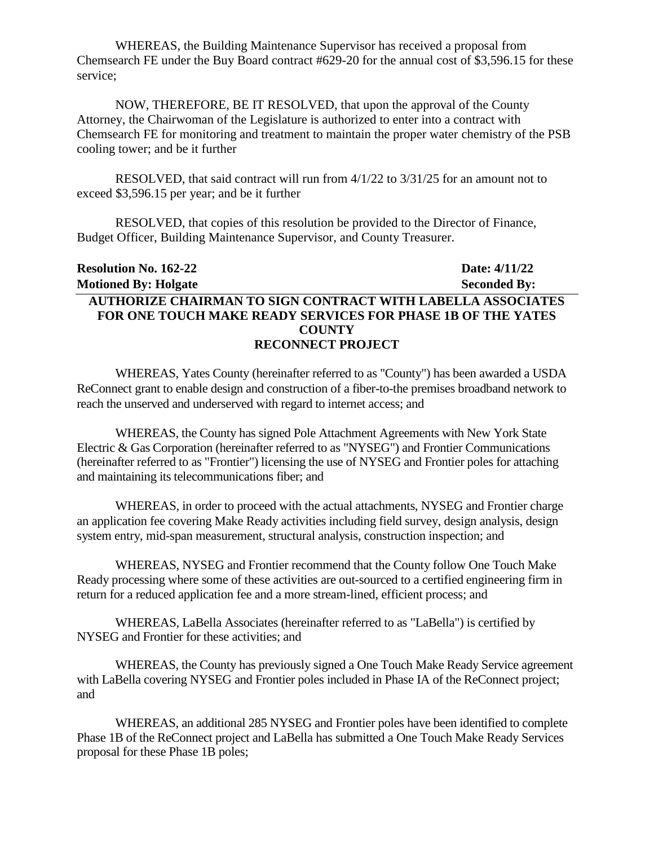WHEREAS, the Building Maintenance Supervisor has received a proposal from Chemsearch FE under the Buy Board contract #629-20 for the annual cost of \$3,596.15 for these service;

NOW, THEREFORE, BE IT RESOLVED, that upon the approval of the County Attorney, the Chairwoman of the Legislature is authorized to enter into a contract with Chemsearch FE for monitoring and treatment to maintain the proper water chemistry of the PSB cooling tower; and be it further

RESOLVED, that said contract will run from 4/1/22 to 3/31/25 for an amount not to exceed \$3,596.15 per year; and be it further

RESOLVED, that copies of this resolution be provided to the Director of Finance, Budget Officer, Building Maintenance Supervisor, and County Treasurer.

| <b>Resolution No. 162-22</b>                                       | Date: 4/11/22       |
|--------------------------------------------------------------------|---------------------|
| <b>Motioned By: Holgate</b>                                        | <b>Seconded By:</b> |
| <b>AUTHORIZE CHAIRMAN TO SIGN CONTRACT WITH LABELLA ASSOCIATES</b> |                     |
| <b>FOR ONE TOUCH MAKE READY SERVICES FOR PHASE 1B OF THE YATES</b> |                     |
| <b>COUNTY</b>                                                      |                     |
| <b>RECONNECT PROJECT</b>                                           |                     |

WHEREAS, Yates County (hereinafter referred to as "County") has been awarded a USDA ReConnect grant to enable design and construction of a fiber-to-the premises broadband network to reach the unserved and underserved with regard to internet access; and

WHEREAS, the County has signed Pole Attachment Agreements with New York State Electric & Gas Corporation (hereinafter referred to as "NYSEG") and Frontier Communications (hereinafter referred to as "Frontier") licensing the use of NYSEG and Frontier poles for attaching and maintaining its telecommunications fiber; and

WHEREAS, in order to proceed with the actual attachments, NYSEG and Frontier charge an application fee covering Make Ready activities including field survey, design analysis, design system entry, mid-span measurement, structural analysis, construction inspection; and

WHEREAS, NYSEG and Frontier recommend that the County follow One Touch Make Ready processing where some of these activities are out-sourced to a certified engineering firm in return for a reduced application fee and a more stream-lined, efficient process; and

WHEREAS, LaBella Associates (hereinafter referred to as "LaBella") is certified by NYSEG and Frontier for these activities; and

WHEREAS, the County has previously signed a One Touch Make Ready Service agreement with LaBella covering NYSEG and Frontier poles included in Phase IA of the ReConnect project; and

WHEREAS, an additional 285 NYSEG and Frontier poles have been identified to complete Phase 1B of the ReConnect project and LaBella has submitted a One Touch Make Ready Services proposal for these Phase 1B poles;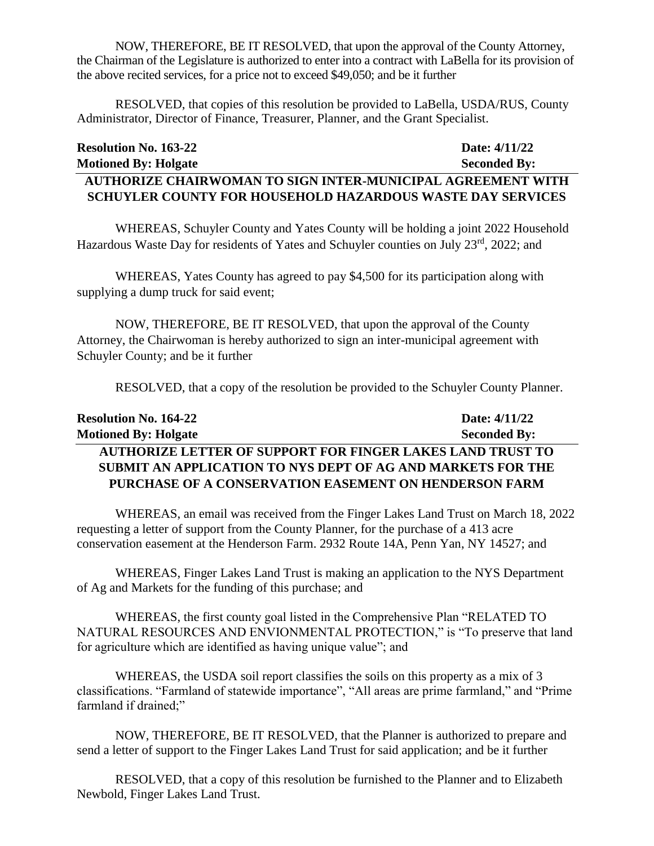NOW, THEREFORE, BE IT RESOLVED, that upon the approval of the County Attorney, the Chairman of the Legislature is authorized to enter into a contract with LaBella for its provision of the above recited services, for a price not to exceed \$49,050; and be it further

RESOLVED, that copies of this resolution be provided to LaBella, USDA/RUS, County Administrator, Director of Finance, Treasurer, Planner, and the Grant Specialist.

| <b>Resolution No. 163-22</b>                                | Date: 4/11/22       |
|-------------------------------------------------------------|---------------------|
| <b>Motioned By: Holgate</b>                                 | <b>Seconded By:</b> |
| AUTHORIZE CHAIRWOMAN TO SIGN INTER-MUNICIPAL AGREEMENT WITH |                     |
| SCHUYLER COUNTY FOR HOUSEHOLD HAZARDOUS WASTE DAY SERVICES  |                     |

WHEREAS, Schuyler County and Yates County will be holding a joint 2022 Household Hazardous Waste Day for residents of Yates and Schuyler counties on July 23<sup>rd</sup>, 2022; and

WHEREAS, Yates County has agreed to pay \$4,500 for its participation along with supplying a dump truck for said event;

NOW, THEREFORE, BE IT RESOLVED, that upon the approval of the County Attorney, the Chairwoman is hereby authorized to sign an inter-municipal agreement with Schuyler County; and be it further

RESOLVED, that a copy of the resolution be provided to the Schuyler County Planner.

| <b>Resolution No. 164-22</b>                                      | Date: $4/11/22$     |
|-------------------------------------------------------------------|---------------------|
| <b>Motioned By: Holgate</b>                                       | <b>Seconded By:</b> |
| <b>AUTHORIZE LETTER OF SUPPORT FOR FINGER LAKES LAND TRUST TO</b> |                     |
| SUBMIT AN APPLICATION TO NYS DEPT OF AG AND MARKETS FOR THE       |                     |
| PURCHASE OF A CONSERVATION EASEMENT ON HENDERSON FARM             |                     |

WHEREAS, an email was received from the Finger Lakes Land Trust on March 18, 2022 requesting a letter of support from the County Planner, for the purchase of a 413 acre conservation easement at the Henderson Farm. 2932 Route 14A, Penn Yan, NY 14527; and

WHEREAS, Finger Lakes Land Trust is making an application to the NYS Department of Ag and Markets for the funding of this purchase; and

WHEREAS, the first county goal listed in the Comprehensive Plan "RELATED TO NATURAL RESOURCES AND ENVIONMENTAL PROTECTION," is "To preserve that land for agriculture which are identified as having unique value"; and

WHEREAS, the USDA soil report classifies the soils on this property as a mix of 3 classifications. "Farmland of statewide importance", "All areas are prime farmland," and "Prime farmland if drained;"

NOW, THEREFORE, BE IT RESOLVED, that the Planner is authorized to prepare and send a letter of support to the Finger Lakes Land Trust for said application; and be it further

RESOLVED, that a copy of this resolution be furnished to the Planner and to Elizabeth Newbold, Finger Lakes Land Trust.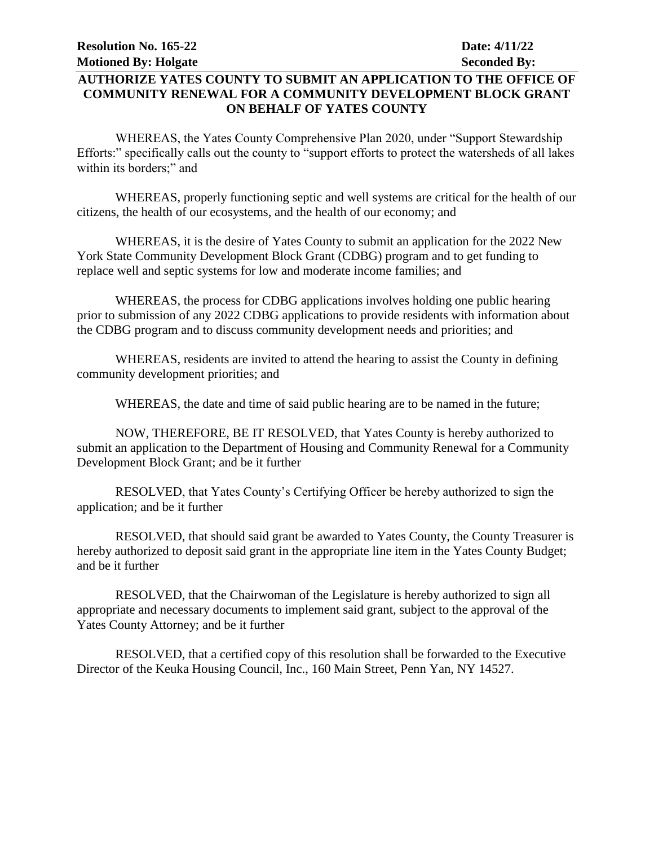### **AUTHORIZE YATES COUNTY TO SUBMIT AN APPLICATION TO THE OFFICE OF COMMUNITY RENEWAL FOR A COMMUNITY DEVELOPMENT BLOCK GRANT ON BEHALF OF YATES COUNTY**

WHEREAS, the Yates County Comprehensive Plan 2020, under "Support Stewardship Efforts:" specifically calls out the county to "support efforts to protect the watersheds of all lakes within its borders;" and

WHEREAS, properly functioning septic and well systems are critical for the health of our citizens, the health of our ecosystems, and the health of our economy; and

WHEREAS, it is the desire of Yates County to submit an application for the 2022 New York State Community Development Block Grant (CDBG) program and to get funding to replace well and septic systems for low and moderate income families; and

WHEREAS, the process for CDBG applications involves holding one public hearing prior to submission of any 2022 CDBG applications to provide residents with information about the CDBG program and to discuss community development needs and priorities; and

WHEREAS, residents are invited to attend the hearing to assist the County in defining community development priorities; and

WHEREAS, the date and time of said public hearing are to be named in the future;

NOW, THEREFORE, BE IT RESOLVED, that Yates County is hereby authorized to submit an application to the Department of Housing and Community Renewal for a Community Development Block Grant; and be it further

RESOLVED, that Yates County's Certifying Officer be hereby authorized to sign the application; and be it further

RESOLVED, that should said grant be awarded to Yates County, the County Treasurer is hereby authorized to deposit said grant in the appropriate line item in the Yates County Budget; and be it further

RESOLVED, that the Chairwoman of the Legislature is hereby authorized to sign all appropriate and necessary documents to implement said grant, subject to the approval of the Yates County Attorney; and be it further

RESOLVED, that a certified copy of this resolution shall be forwarded to the Executive Director of the Keuka Housing Council, Inc., 160 Main Street, Penn Yan, NY 14527.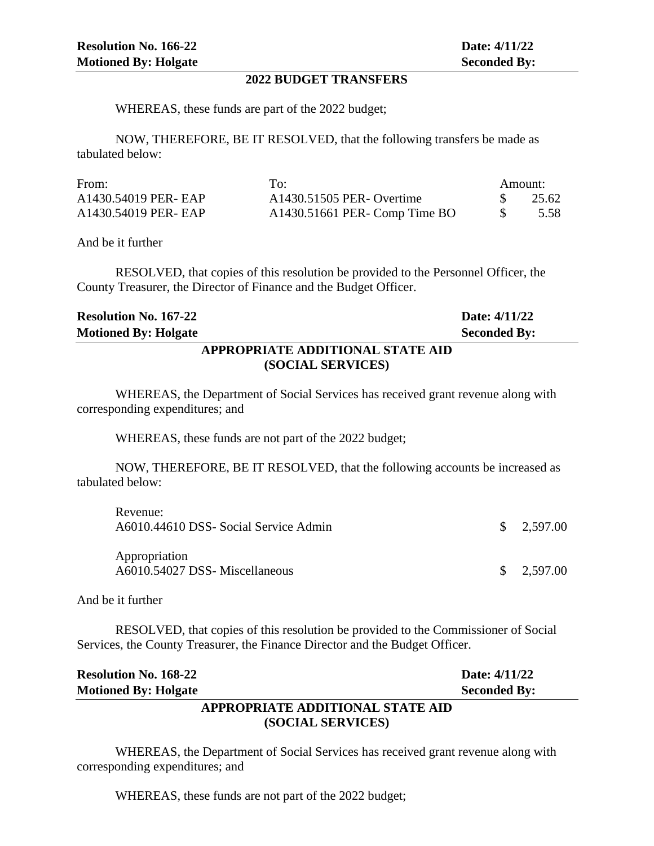#### **2022 BUDGET TRANSFERS**

WHEREAS, these funds are part of the 2022 budget;

NOW, THEREFORE, BE IT RESOLVED, that the following transfers be made as tabulated below:

| From:                | To:                            | Amount: |
|----------------------|--------------------------------|---------|
| A1430.54019 PER- EAP | A1430.51505 PER- Overtime      | 25.62   |
| A1430.54019 PER- EAP | $A1430.51661$ PER-Comp Time BO | 5.58    |

And be it further

RESOLVED, that copies of this resolution be provided to the Personnel Officer, the County Treasurer, the Director of Finance and the Budget Officer.

|                              | <b>DRADDLUTE IDDITIONLE OF LED LID</b> |                     |
|------------------------------|----------------------------------------|---------------------|
| <b>Motioned By: Holgate</b>  |                                        | <b>Seconded By:</b> |
| <b>Resolution No. 167-22</b> |                                        | Date: 4/11/22       |

### **APPROPRIATE ADDITIONAL STATE AID (SOCIAL SERVICES)**

WHEREAS, the Department of Social Services has received grant revenue along with corresponding expenditures; and

WHEREAS, these funds are not part of the 2022 budget;

NOW, THEREFORE, BE IT RESOLVED, that the following accounts be increased as tabulated below:

| Revenue:<br>A6010.44610 DSS- Social Service Admin | $\frac{\$}{2.597.00}$ |
|---------------------------------------------------|-----------------------|
| Appropriation<br>A6010.54027 DSS- Miscellaneous   | $\frac{\$}{2.597.00}$ |

And be it further

RESOLVED, that copies of this resolution be provided to the Commissioner of Social Services, the County Treasurer, the Finance Director and the Budget Officer.

| <b>Resolution No. 168-22</b>     | Date: 4/11/22       |
|----------------------------------|---------------------|
| <b>Motioned By: Holgate</b>      | <b>Seconded By:</b> |
| APPROPRIATE ADDITIONAL STATE AID |                     |
| (SOCIAL SERVICES)                |                     |

WHEREAS, the Department of Social Services has received grant revenue along with corresponding expenditures; and

WHEREAS, these funds are not part of the 2022 budget;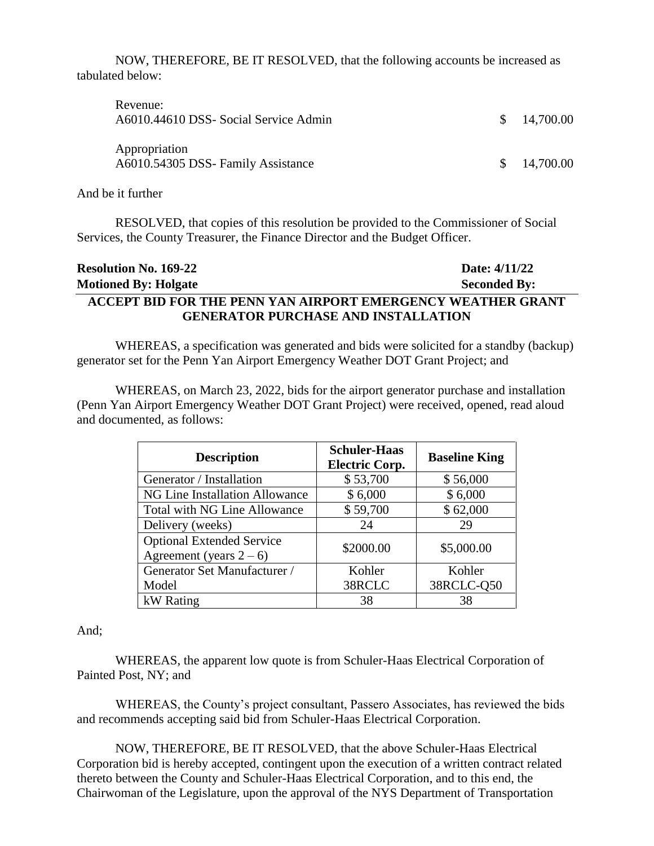NOW, THEREFORE, BE IT RESOLVED, that the following accounts be increased as tabulated below:

| Revenue:<br>A6010.44610 DSS- Social Service Admin   | \$14,700.00            |
|-----------------------------------------------------|------------------------|
| Appropriation<br>A6010.54305 DSS- Family Assistance | $\frac{\$}{14.700.00}$ |

And be it further

RESOLVED, that copies of this resolution be provided to the Commissioner of Social Services, the County Treasurer, the Finance Director and the Budget Officer.

| <b>Resolution No. 169-22</b>                                | Date: 4/11/22       |
|-------------------------------------------------------------|---------------------|
| <b>Motioned By: Holgate</b>                                 | <b>Seconded By:</b> |
| ACCEPT BID FOR THE PENN YAN AIRPORT EMERGENCY WEATHER GRANT |                     |
| <b>GENERATOR PURCHASE AND INSTALLATION</b>                  |                     |

WHEREAS, a specification was generated and bids were solicited for a standby (backup) generator set for the Penn Yan Airport Emergency Weather DOT Grant Project; and

WHEREAS, on March 23, 2022, bids for the airport generator purchase and installation (Penn Yan Airport Emergency Weather DOT Grant Project) were received, opened, read aloud and documented, as follows:

| <b>Description</b>                  | <b>Schuler-Haas</b><br><b>Electric Corp.</b> | <b>Baseline King</b> |
|-------------------------------------|----------------------------------------------|----------------------|
| Generator / Installation            | \$53,700                                     | \$56,000             |
| NG Line Installation Allowance      | \$6,000                                      | \$6,000              |
| <b>Total with NG Line Allowance</b> | \$59,700                                     | \$62,000             |
| Delivery (weeks)                    | 24                                           | 29                   |
| <b>Optional Extended Service</b>    | \$2000.00                                    | \$5,000.00           |
| Agreement (years $2-6$ )            |                                              |                      |
| Generator Set Manufacturer /        | Kohler                                       | Kohler               |
| Model                               | 38RCLC                                       | 38RCLC-Q50           |
| kW Rating                           | 38                                           | 38                   |

#### And;

WHEREAS, the apparent low quote is from Schuler-Haas Electrical Corporation of Painted Post, NY; and

WHEREAS, the County's project consultant, Passero Associates, has reviewed the bids and recommends accepting said bid from Schuler-Haas Electrical Corporation.

NOW, THEREFORE, BE IT RESOLVED, that the above Schuler-Haas Electrical Corporation bid is hereby accepted, contingent upon the execution of a written contract related thereto between the County and Schuler-Haas Electrical Corporation, and to this end, the Chairwoman of the Legislature, upon the approval of the NYS Department of Transportation